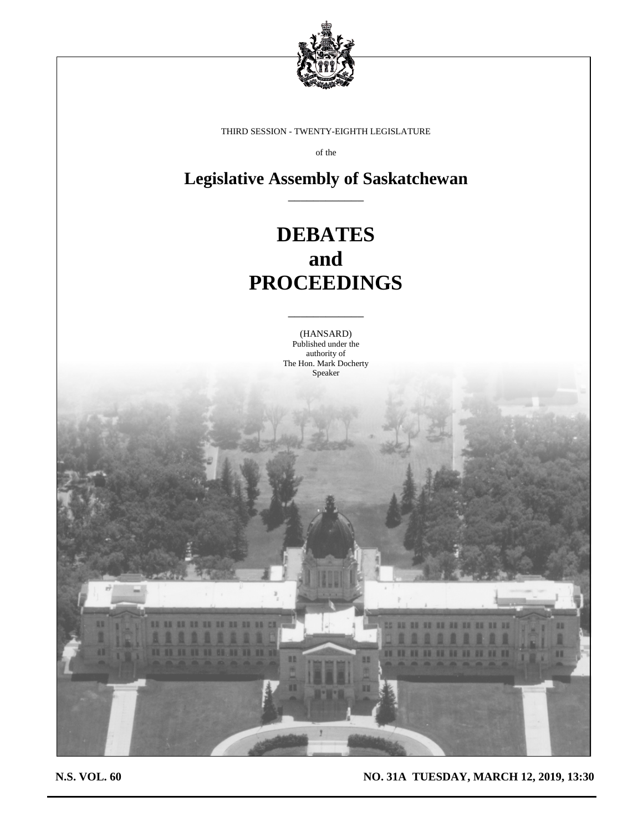

THIRD SESSION - TWENTY-EIGHTH LEGISLATURE

of the

**Legislative Assembly of Saskatchewan** \_\_\_\_\_\_\_\_\_\_\_\_

# **DEBATES and PROCEEDINGS**

(HANSARD) Published under the authority of The Hon. Mark Docherty Speaker

\_\_\_\_\_\_\_\_\_\_\_\_

**N.S. VOL. 60 NO. 31A TUESDAY, MARCH 12, 2019, 13:30**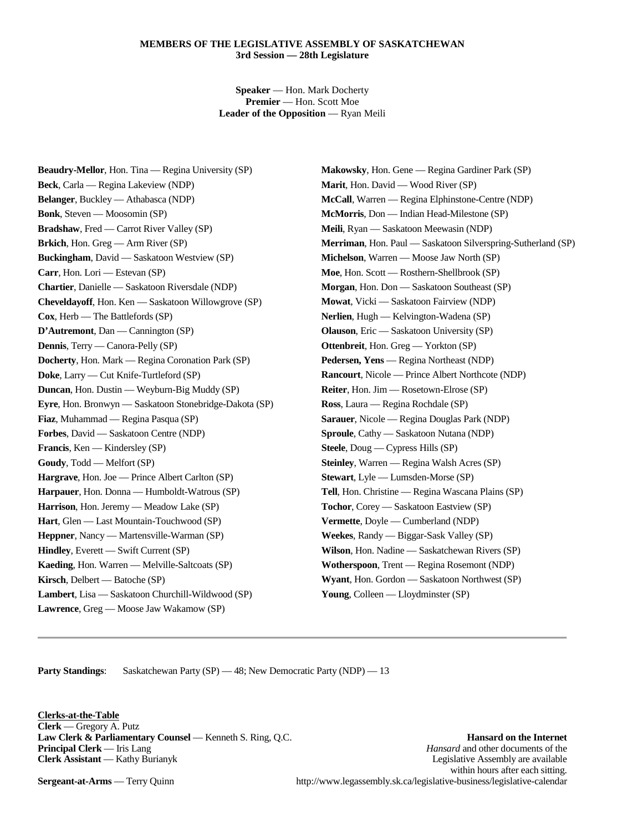#### **MEMBERS OF THE LEGISLATIVE ASSEMBLY OF SASKATCHEWAN 3rd Session — 28th Legislature**

**Speaker** — Hon. Mark Docherty **Premier** — Hon. Scott Moe **Leader of the Opposition** — Ryan Meili

**Beaudry-Mellor**, Hon. Tina — Regina University (SP) **Beck**, Carla — Regina Lakeview (NDP) **Belanger**, Buckley — Athabasca (NDP) **Bonk**, Steven — Moosomin (SP) **Bradshaw**, Fred — Carrot River Valley (SP) **Brkich**, Hon. Greg — Arm River (SP) **Buckingham**, David — Saskatoon Westview (SP) **Carr**, Hon. Lori — Estevan (SP) **Chartier**, Danielle — Saskatoon Riversdale (NDP) **Cheveldayoff**, Hon. Ken — Saskatoon Willowgrove (SP) **Cox**, Herb — The Battlefords (SP) **D'Autremont**, Dan — Cannington (SP) **Dennis**, Terry — Canora-Pelly (SP) **Docherty**, Hon. Mark — Regina Coronation Park (SP) **Doke**, Larry — Cut Knife-Turtleford (SP) **Duncan**, Hon. Dustin — Weyburn-Big Muddy (SP) **Eyre**, Hon. Bronwyn — Saskatoon Stonebridge-Dakota (SP) **Fiaz**, Muhammad — Regina Pasqua (SP) **Forbes**, David — Saskatoon Centre (NDP) **Francis**, Ken — Kindersley (SP) **Goudy**, Todd — Melfort (SP) **Hargrave**, Hon. Joe — Prince Albert Carlton (SP) **Harpauer**, Hon. Donna — Humboldt-Watrous (SP) **Harrison**, Hon. Jeremy — Meadow Lake (SP) **Hart**, Glen — Last Mountain-Touchwood (SP) **Heppner**, Nancy — Martensville-Warman (SP) **Hindley**, Everett — Swift Current (SP) **Kaeding**, Hon. Warren — Melville-Saltcoats (SP) **Kirsch**, Delbert — Batoche (SP) **Lambert**, Lisa — Saskatoon Churchill-Wildwood (SP) **Lawrence**, Greg — Moose Jaw Wakamow (SP)

**Makowsky**, Hon. Gene — Regina Gardiner Park (SP) **Marit**, Hon. David — Wood River (SP) **McCall**, Warren — Regina Elphinstone-Centre (NDP) **McMorris**, Don — Indian Head-Milestone (SP) **Meili**, Ryan — Saskatoon Meewasin (NDP) **Merriman**, Hon. Paul — Saskatoon Silverspring-Sutherland (SP) **Michelson**, Warren — Moose Jaw North (SP) **Moe**, Hon. Scott — Rosthern-Shellbrook (SP) **Morgan**, Hon. Don — Saskatoon Southeast (SP) **Mowat**, Vicki — Saskatoon Fairview (NDP) **Nerlien**, Hugh — Kelvington-Wadena (SP) **Olauson**, Eric — Saskatoon University (SP) **Ottenbreit**, Hon. Greg — Yorkton (SP) **Pedersen, Yens** — Regina Northeast (NDP) **Rancourt**, Nicole — Prince Albert Northcote (NDP) **Reiter**, Hon. Jim — Rosetown-Elrose (SP) **Ross**, Laura — Regina Rochdale (SP) **Sarauer**, Nicole — Regina Douglas Park (NDP) **Sproule**, Cathy — Saskatoon Nutana (NDP) **Steele**, Doug — Cypress Hills (SP) **Steinley**, Warren — Regina Walsh Acres (SP) **Stewart**, Lyle — Lumsden-Morse (SP) **Tell**, Hon. Christine — Regina Wascana Plains (SP) **Tochor**, Corey — Saskatoon Eastview (SP) **Vermette**, Doyle — Cumberland (NDP) **Weekes**, Randy — Biggar-Sask Valley (SP) **Wilson**, Hon. Nadine — Saskatchewan Rivers (SP) **Wotherspoon**, Trent — Regina Rosemont (NDP) **Wyant**, Hon. Gordon — Saskatoon Northwest (SP) **Young**, Colleen — Lloydminster (SP)

**Party Standings:** Saskatchewan Party (SP) — 48; New Democratic Party (NDP) — 13

**Clerks-at-the-Table Clerk** — Gregory A. Putz **Law Clerk & Parliamentary Counsel** — Kenneth S. Ring, Q.C. **Hansard on the Internet** 

**Principal Clerk** — Iris Lang *Hansard* and other documents of the **Clerk Assistant** — Kathy Burianyk **Legislative Assembly are available** Legislative Assembly are available within hours after each sitting. **Sergeant-at-Arms** — Terry Quinn http://www.legassembly.sk.ca/legislative-business/legislative-calendar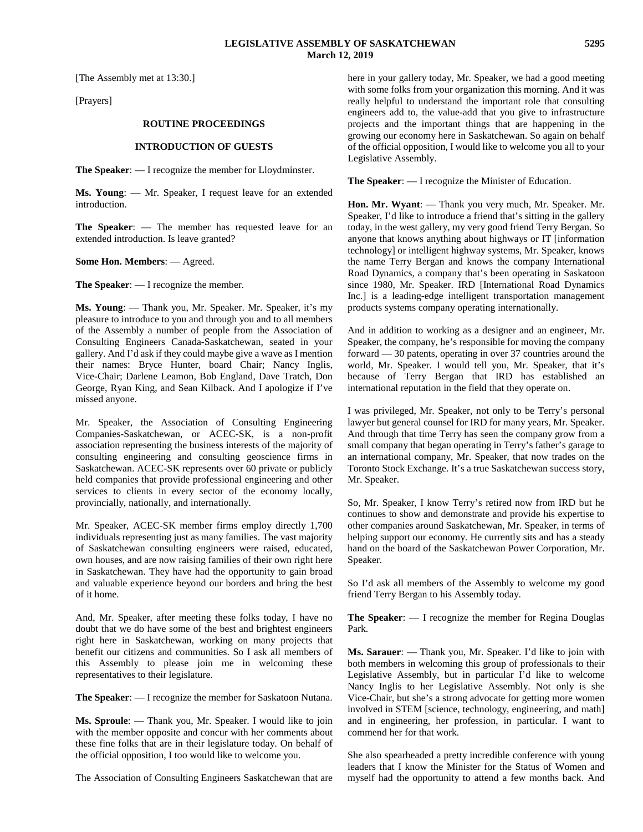[The Assembly met at 13:30.]

[Prayers]

#### **ROUTINE PROCEEDINGS**

#### **INTRODUCTION OF GUESTS**

**The Speaker**: — I recognize the member for Lloydminster.

**Ms. Young**: — Mr. Speaker, I request leave for an extended introduction.

**The Speaker**: — The member has requested leave for an extended introduction. Is leave granted?

**Some Hon. Members**: — Agreed.

**The Speaker**: — I recognize the member.

**Ms. Young**: — Thank you, Mr. Speaker. Mr. Speaker, it's my pleasure to introduce to you and through you and to all members of the Assembly a number of people from the Association of Consulting Engineers Canada-Saskatchewan, seated in your gallery. And I'd ask if they could maybe give a wave as I mention their names: Bryce Hunter, board Chair; Nancy Inglis, Vice-Chair; Darlene Leamon, Bob England, Dave Tratch, Don George, Ryan King, and Sean Kilback. And I apologize if I've missed anyone.

Mr. Speaker, the Association of Consulting Engineering Companies-Saskatchewan, or ACEC-SK, is a non-profit association representing the business interests of the majority of consulting engineering and consulting geoscience firms in Saskatchewan. ACEC-SK represents over 60 private or publicly held companies that provide professional engineering and other services to clients in every sector of the economy locally, provincially, nationally, and internationally.

Mr. Speaker, ACEC-SK member firms employ directly 1,700 individuals representing just as many families. The vast majority of Saskatchewan consulting engineers were raised, educated, own houses, and are now raising families of their own right here in Saskatchewan. They have had the opportunity to gain broad and valuable experience beyond our borders and bring the best of it home.

And, Mr. Speaker, after meeting these folks today, I have no doubt that we do have some of the best and brightest engineers right here in Saskatchewan, working on many projects that benefit our citizens and communities. So I ask all members of this Assembly to please join me in welcoming these representatives to their legislature.

**The Speaker**: — I recognize the member for Saskatoon Nutana.

**Ms. Sproule**: — Thank you, Mr. Speaker. I would like to join with the member opposite and concur with her comments about these fine folks that are in their legislature today. On behalf of the official opposition, I too would like to welcome you.

The Association of Consulting Engineers Saskatchewan that are

here in your gallery today, Mr. Speaker, we had a good meeting with some folks from your organization this morning. And it was really helpful to understand the important role that consulting engineers add to, the value-add that you give to infrastructure projects and the important things that are happening in the growing our economy here in Saskatchewan. So again on behalf of the official opposition, I would like to welcome you all to your Legislative Assembly.

**The Speaker**: — I recognize the Minister of Education.

**Hon. Mr. Wyant**: — Thank you very much, Mr. Speaker. Mr. Speaker, I'd like to introduce a friend that's sitting in the gallery today, in the west gallery, my very good friend Terry Bergan. So anyone that knows anything about highways or IT [information technology] or intelligent highway systems, Mr. Speaker, knows the name Terry Bergan and knows the company International Road Dynamics, a company that's been operating in Saskatoon since 1980, Mr. Speaker. IRD [International Road Dynamics Inc.] is a leading-edge intelligent transportation management products systems company operating internationally.

And in addition to working as a designer and an engineer, Mr. Speaker, the company, he's responsible for moving the company forward — 30 patents, operating in over 37 countries around the world, Mr. Speaker. I would tell you, Mr. Speaker, that it's because of Terry Bergan that IRD has established an international reputation in the field that they operate on.

I was privileged, Mr. Speaker, not only to be Terry's personal lawyer but general counsel for IRD for many years, Mr. Speaker. And through that time Terry has seen the company grow from a small company that began operating in Terry's father's garage to an international company, Mr. Speaker, that now trades on the Toronto Stock Exchange. It's a true Saskatchewan success story, Mr. Speaker.

So, Mr. Speaker, I know Terry's retired now from IRD but he continues to show and demonstrate and provide his expertise to other companies around Saskatchewan, Mr. Speaker, in terms of helping support our economy. He currently sits and has a steady hand on the board of the Saskatchewan Power Corporation, Mr. Speaker.

So I'd ask all members of the Assembly to welcome my good friend Terry Bergan to his Assembly today.

**The Speaker**: — I recognize the member for Regina Douglas Park.

**Ms. Sarauer**: — Thank you, Mr. Speaker. I'd like to join with both members in welcoming this group of professionals to their Legislative Assembly, but in particular I'd like to welcome Nancy Inglis to her Legislative Assembly. Not only is she Vice-Chair, but she's a strong advocate for getting more women involved in STEM [science, technology, engineering, and math] and in engineering, her profession, in particular. I want to commend her for that work.

She also spearheaded a pretty incredible conference with young leaders that I know the Minister for the Status of Women and myself had the opportunity to attend a few months back. And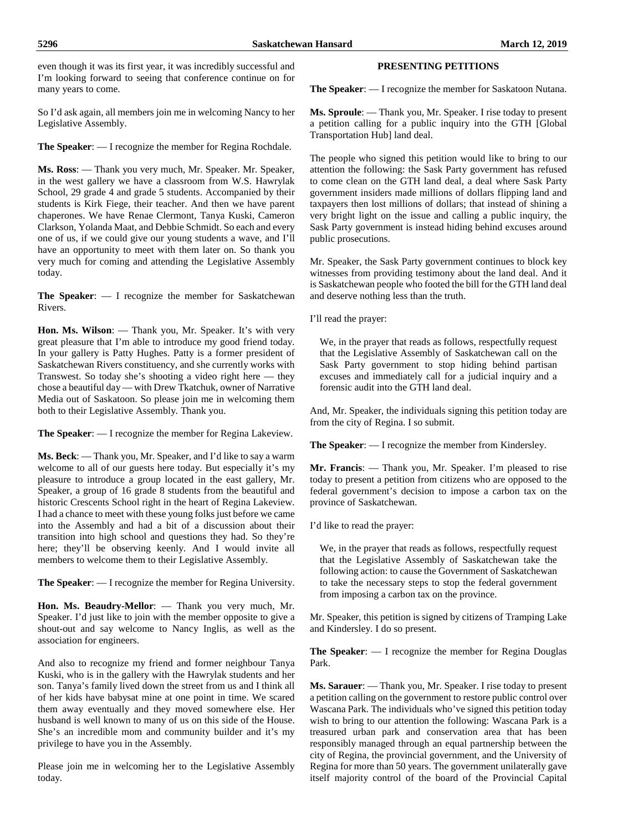even though it was its first year, it was incredibly successful and I'm looking forward to seeing that conference continue on for many years to come.

So I'd ask again, all members join me in welcoming Nancy to her Legislative Assembly.

**The Speaker**: — I recognize the member for Regina Rochdale.

**Ms. Ross**: — Thank you very much, Mr. Speaker. Mr. Speaker, in the west gallery we have a classroom from W.S. Hawrylak School, 29 grade 4 and grade 5 students. Accompanied by their students is Kirk Fiege, their teacher. And then we have parent chaperones. We have Renae Clermont, Tanya Kuski, Cameron Clarkson, Yolanda Maat, and Debbie Schmidt. So each and every one of us, if we could give our young students a wave, and I'll have an opportunity to meet with them later on. So thank you very much for coming and attending the Legislative Assembly today.

**The Speaker**: — I recognize the member for Saskatchewan Rivers.

**Hon. Ms. Wilson**: — Thank you, Mr. Speaker. It's with very great pleasure that I'm able to introduce my good friend today. In your gallery is Patty Hughes. Patty is a former president of Saskatchewan Rivers constituency, and she currently works with Transwest. So today she's shooting a video right here — they chose a beautiful day — with Drew Tkatchuk, owner of Narrative Media out of Saskatoon. So please join me in welcoming them both to their Legislative Assembly. Thank you.

**The Speaker**: — I recognize the member for Regina Lakeview.

**Ms. Beck**: — Thank you, Mr. Speaker, and I'd like to say a warm welcome to all of our guests here today. But especially it's my pleasure to introduce a group located in the east gallery, Mr. Speaker, a group of 16 grade 8 students from the beautiful and historic Crescents School right in the heart of Regina Lakeview. I had a chance to meet with these young folks just before we came into the Assembly and had a bit of a discussion about their transition into high school and questions they had. So they're here; they'll be observing keenly. And I would invite all members to welcome them to their Legislative Assembly.

**The Speaker**: — I recognize the member for Regina University.

**Hon. Ms. Beaudry-Mellor**: — Thank you very much, Mr. Speaker. I'd just like to join with the member opposite to give a shout-out and say welcome to Nancy Inglis, as well as the association for engineers.

And also to recognize my friend and former neighbour Tanya Kuski, who is in the gallery with the Hawrylak students and her son. Tanya's family lived down the street from us and I think all of her kids have babysat mine at one point in time. We scared them away eventually and they moved somewhere else. Her husband is well known to many of us on this side of the House. She's an incredible mom and community builder and it's my privilege to have you in the Assembly.

Please join me in welcoming her to the Legislative Assembly today.

# **PRESENTING PETITIONS**

**The Speaker**: — I recognize the member for Saskatoon Nutana.

**Ms. Sproule**: — Thank you, Mr. Speaker. I rise today to present a petition calling for a public inquiry into the GTH [Global Transportation Hub] land deal.

The people who signed this petition would like to bring to our attention the following: the Sask Party government has refused to come clean on the GTH land deal, a deal where Sask Party government insiders made millions of dollars flipping land and taxpayers then lost millions of dollars; that instead of shining a very bright light on the issue and calling a public inquiry, the Sask Party government is instead hiding behind excuses around public prosecutions.

Mr. Speaker, the Sask Party government continues to block key witnesses from providing testimony about the land deal. And it is Saskatchewan people who footed the bill for the GTH land deal and deserve nothing less than the truth.

I'll read the prayer:

We, in the prayer that reads as follows, respectfully request that the Legislative Assembly of Saskatchewan call on the Sask Party government to stop hiding behind partisan excuses and immediately call for a judicial inquiry and a forensic audit into the GTH land deal.

And, Mr. Speaker, the individuals signing this petition today are from the city of Regina. I so submit.

**The Speaker**: — I recognize the member from Kindersley.

**Mr. Francis**: — Thank you, Mr. Speaker. I'm pleased to rise today to present a petition from citizens who are opposed to the federal government's decision to impose a carbon tax on the province of Saskatchewan.

I'd like to read the prayer:

We, in the prayer that reads as follows, respectfully request that the Legislative Assembly of Saskatchewan take the following action: to cause the Government of Saskatchewan to take the necessary steps to stop the federal government from imposing a carbon tax on the province.

Mr. Speaker, this petition is signed by citizens of Tramping Lake and Kindersley. I do so present.

**The Speaker**: — I recognize the member for Regina Douglas Park.

**Ms. Sarauer**: — Thank you, Mr. Speaker. I rise today to present a petition calling on the government to restore public control over Wascana Park. The individuals who've signed this petition today wish to bring to our attention the following: Wascana Park is a treasured urban park and conservation area that has been responsibly managed through an equal partnership between the city of Regina, the provincial government, and the University of Regina for more than 50 years. The government unilaterally gave itself majority control of the board of the Provincial Capital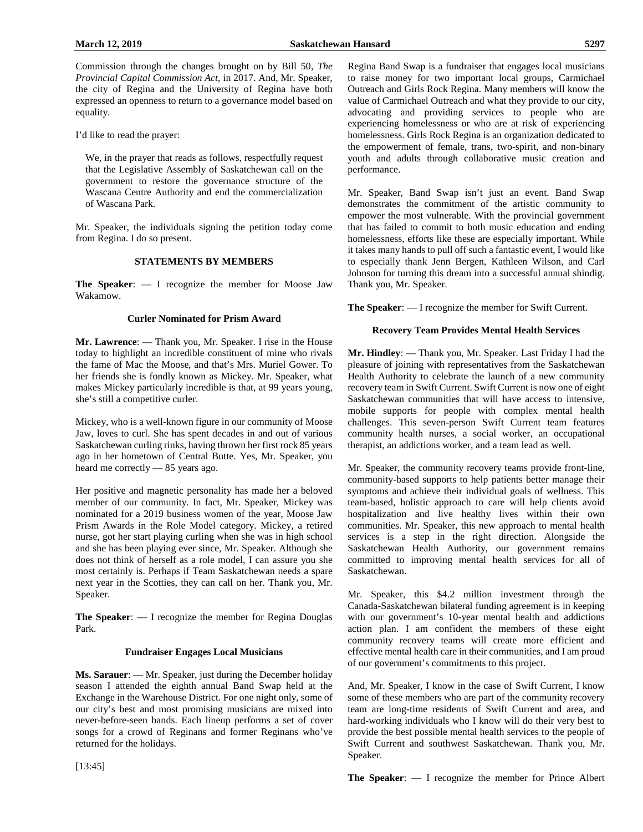Commission through the changes brought on by Bill 50, *The Provincial Capital Commission Act*, in 2017. And, Mr. Speaker, the city of Regina and the University of Regina have both expressed an openness to return to a governance model based on equality.

I'd like to read the prayer:

We, in the prayer that reads as follows, respectfully request that the Legislative Assembly of Saskatchewan call on the government to restore the governance structure of the Wascana Centre Authority and end the commercialization of Wascana Park.

Mr. Speaker, the individuals signing the petition today come from Regina. I do so present.

# **STATEMENTS BY MEMBERS**

**The Speaker**: — I recognize the member for Moose Jaw Wakamow.

#### **Curler Nominated for Prism Award**

**Mr. Lawrence**: — Thank you, Mr. Speaker. I rise in the House today to highlight an incredible constituent of mine who rivals the fame of Mac the Moose, and that's Mrs. Muriel Gower. To her friends she is fondly known as Mickey. Mr. Speaker, what makes Mickey particularly incredible is that, at 99 years young, she's still a competitive curler.

Mickey, who is a well-known figure in our community of Moose Jaw, loves to curl. She has spent decades in and out of various Saskatchewan curling rinks, having thrown her first rock 85 years ago in her hometown of Central Butte. Yes, Mr. Speaker, you heard me correctly — 85 years ago.

Her positive and magnetic personality has made her a beloved member of our community. In fact, Mr. Speaker, Mickey was nominated for a 2019 business women of the year, Moose Jaw Prism Awards in the Role Model category. Mickey, a retired nurse, got her start playing curling when she was in high school and she has been playing ever since, Mr. Speaker. Although she does not think of herself as a role model, I can assure you she most certainly is. Perhaps if Team Saskatchewan needs a spare next year in the Scotties, they can call on her. Thank you, Mr. Speaker.

**The Speaker**: — I recognize the member for Regina Douglas Park.

# **Fundraiser Engages Local Musicians**

**Ms. Sarauer**: — Mr. Speaker, just during the December holiday season I attended the eighth annual Band Swap held at the Exchange in the Warehouse District. For one night only, some of our city's best and most promising musicians are mixed into never-before-seen bands. Each lineup performs a set of cover songs for a crowd of Reginans and former Reginans who've returned for the holidays.

Regina Band Swap is a fundraiser that engages local musicians to raise money for two important local groups, Carmichael Outreach and Girls Rock Regina. Many members will know the value of Carmichael Outreach and what they provide to our city, advocating and providing services to people who are experiencing homelessness or who are at risk of experiencing homelessness. Girls Rock Regina is an organization dedicated to the empowerment of female, trans, two-spirit, and non-binary youth and adults through collaborative music creation and performance.

Mr. Speaker, Band Swap isn't just an event. Band Swap demonstrates the commitment of the artistic community to empower the most vulnerable. With the provincial government that has failed to commit to both music education and ending homelessness, efforts like these are especially important. While it takes many hands to pull off such a fantastic event, I would like to especially thank Jenn Bergen, Kathleen Wilson, and Carl Johnson for turning this dream into a successful annual shindig. Thank you, Mr. Speaker.

**The Speaker**: — I recognize the member for Swift Current.

# **Recovery Team Provides Mental Health Services**

**Mr. Hindley**: — Thank you, Mr. Speaker. Last Friday I had the pleasure of joining with representatives from the Saskatchewan Health Authority to celebrate the launch of a new community recovery team in Swift Current. Swift Current is now one of eight Saskatchewan communities that will have access to intensive, mobile supports for people with complex mental health challenges. This seven-person Swift Current team features community health nurses, a social worker, an occupational therapist, an addictions worker, and a team lead as well.

Mr. Speaker, the community recovery teams provide front-line, community-based supports to help patients better manage their symptoms and achieve their individual goals of wellness. This team-based, holistic approach to care will help clients avoid hospitalization and live healthy lives within their own communities. Mr. Speaker, this new approach to mental health services is a step in the right direction. Alongside the Saskatchewan Health Authority, our government remains committed to improving mental health services for all of Saskatchewan.

Mr. Speaker, this \$4.2 million investment through the Canada-Saskatchewan bilateral funding agreement is in keeping with our government's 10-year mental health and addictions action plan. I am confident the members of these eight community recovery teams will create more efficient and effective mental health care in their communities, and I am proud of our government's commitments to this project.

And, Mr. Speaker, I know in the case of Swift Current, I know some of these members who are part of the community recovery team are long-time residents of Swift Current and area, and hard-working individuals who I know will do their very best to provide the best possible mental health services to the people of Swift Current and southwest Saskatchewan. Thank you, Mr. Speaker.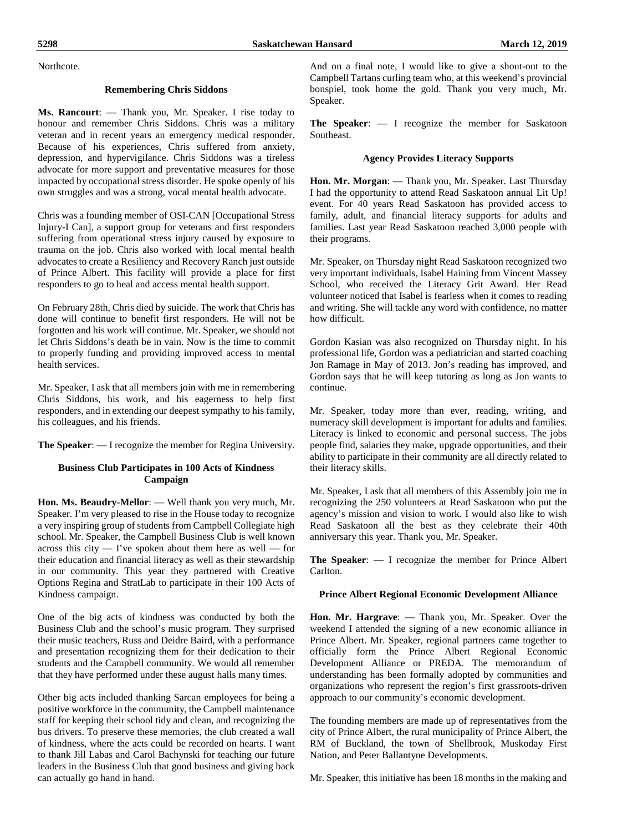Northcote.

#### **Remembering Chris Siddons**

**Ms. Rancourt**: — Thank you, Mr. Speaker. I rise today to honour and remember Chris Siddons. Chris was a military veteran and in recent years an emergency medical responder. Because of his experiences, Chris suffered from anxiety, depression, and hypervigilance. Chris Siddons was a tireless advocate for more support and preventative measures for those impacted by occupational stress disorder. He spoke openly of his own struggles and was a strong, vocal mental health advocate.

Chris was a founding member of OSI-CAN [Occupational Stress Injury-I Can], a support group for veterans and first responders suffering from operational stress injury caused by exposure to trauma on the job. Chris also worked with local mental health advocates to create a Resiliency and Recovery Ranch just outside of Prince Albert. This facility will provide a place for first responders to go to heal and access mental health support.

On February 28th, Chris died by suicide. The work that Chris has done will continue to benefit first responders. He will not be forgotten and his work will continue. Mr. Speaker, we should not let Chris Siddons's death be in vain. Now is the time to commit to properly funding and providing improved access to mental health services.

Mr. Speaker, I ask that all members join with me in remembering Chris Siddons, his work, and his eagerness to help first responders, and in extending our deepest sympathy to his family, his colleagues, and his friends.

**The Speaker**: — I recognize the member for Regina University.

# **Business Club Participates in 100 Acts of Kindness Campaign**

**Hon. Ms. Beaudry-Mellor**: — Well thank you very much, Mr. Speaker. I'm very pleased to rise in the House today to recognize a very inspiring group of students from Campbell Collegiate high school. Mr. Speaker, the Campbell Business Club is well known across this city — I've spoken about them here as well — for their education and financial literacy as well as their stewardship in our community. This year they partnered with Creative Options Regina and StratLab to participate in their 100 Acts of Kindness campaign.

One of the big acts of kindness was conducted by both the Business Club and the school's music program. They surprised their music teachers, Russ and Deidre Baird, with a performance and presentation recognizing them for their dedication to their students and the Campbell community. We would all remember that they have performed under these august halls many times.

Other big acts included thanking Sarcan employees for being a positive workforce in the community, the Campbell maintenance staff for keeping their school tidy and clean, and recognizing the bus drivers. To preserve these memories, the club created a wall of kindness, where the acts could be recorded on hearts. I want to thank Jill Labas and Carol Bachynski for teaching our future leaders in the Business Club that good business and giving back can actually go hand in hand.

And on a final note, I would like to give a shout-out to the Campbell Tartans curling team who, at this weekend's provincial bonspiel, took home the gold. Thank you very much, Mr. Speaker.

**The Speaker**: — I recognize the member for Saskatoon Southeast.

#### **Agency Provides Literacy Supports**

**Hon. Mr. Morgan**: — Thank you, Mr. Speaker. Last Thursday I had the opportunity to attend Read Saskatoon annual Lit Up! event. For 40 years Read Saskatoon has provided access to family, adult, and financial literacy supports for adults and families. Last year Read Saskatoon reached 3,000 people with their programs.

Mr. Speaker, on Thursday night Read Saskatoon recognized two very important individuals, Isabel Haining from Vincent Massey School, who received the Literacy Grit Award. Her Read volunteer noticed that Isabel is fearless when it comes to reading and writing. She will tackle any word with confidence, no matter how difficult.

Gordon Kasian was also recognized on Thursday night. In his professional life, Gordon was a pediatrician and started coaching Jon Ramage in May of 2013. Jon's reading has improved, and Gordon says that he will keep tutoring as long as Jon wants to continue.

Mr. Speaker, today more than ever, reading, writing, and numeracy skill development is important for adults and families. Literacy is linked to economic and personal success. The jobs people find, salaries they make, upgrade opportunities, and their ability to participate in their community are all directly related to their literacy skills.

Mr. Speaker, I ask that all members of this Assembly join me in recognizing the 250 volunteers at Read Saskatoon who put the agency's mission and vision to work. I would also like to wish Read Saskatoon all the best as they celebrate their 40th anniversary this year. Thank you, Mr. Speaker.

**The Speaker**: — I recognize the member for Prince Albert Carlton.

#### **Prince Albert Regional Economic Development Alliance**

**Hon. Mr. Hargrave**: — Thank you, Mr. Speaker. Over the weekend I attended the signing of a new economic alliance in Prince Albert. Mr. Speaker, regional partners came together to officially form the Prince Albert Regional Economic Development Alliance or PREDA. The memorandum of understanding has been formally adopted by communities and organizations who represent the region's first grassroots-driven approach to our community's economic development.

The founding members are made up of representatives from the city of Prince Albert, the rural municipality of Prince Albert, the RM of Buckland, the town of Shellbrook, Muskoday First Nation, and Peter Ballantyne Developments.

Mr. Speaker, this initiative has been 18 months in the making and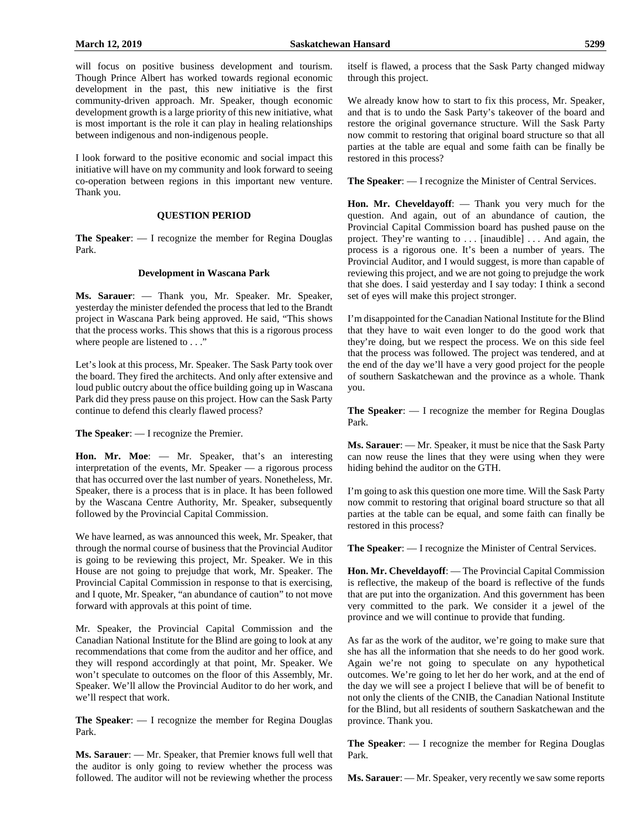will focus on positive business development and tourism. Though Prince Albert has worked towards regional economic development in the past, this new initiative is the first community-driven approach. Mr. Speaker, though economic development growth is a large priority of this new initiative, what is most important is the role it can play in healing relationships between indigenous and non-indigenous people.

I look forward to the positive economic and social impact this initiative will have on my community and look forward to seeing co-operation between regions in this important new venture. Thank you.

#### **QUESTION PERIOD**

**The Speaker**: — I recognize the member for Regina Douglas Park.

#### **Development in Wascana Park**

**Ms. Sarauer**: — Thank you, Mr. Speaker. Mr. Speaker, yesterday the minister defended the process that led to the Brandt project in Wascana Park being approved. He said, "This shows that the process works. This shows that this is a rigorous process where people are listened to . . ."

Let's look at this process, Mr. Speaker. The Sask Party took over the board. They fired the architects. And only after extensive and loud public outcry about the office building going up in Wascana Park did they press pause on this project. How can the Sask Party continue to defend this clearly flawed process?

**The Speaker**: — I recognize the Premier.

**Hon. Mr. Moe**: — Mr. Speaker, that's an interesting interpretation of the events, Mr. Speaker — a rigorous process that has occurred over the last number of years. Nonetheless, Mr. Speaker, there is a process that is in place. It has been followed by the Wascana Centre Authority, Mr. Speaker, subsequently followed by the Provincial Capital Commission.

We have learned, as was announced this week, Mr. Speaker, that through the normal course of business that the Provincial Auditor is going to be reviewing this project, Mr. Speaker. We in this House are not going to prejudge that work, Mr. Speaker. The Provincial Capital Commission in response to that is exercising, and I quote, Mr. Speaker, "an abundance of caution" to not move forward with approvals at this point of time.

Mr. Speaker, the Provincial Capital Commission and the Canadian National Institute for the Blind are going to look at any recommendations that come from the auditor and her office, and they will respond accordingly at that point, Mr. Speaker. We won't speculate to outcomes on the floor of this Assembly, Mr. Speaker. We'll allow the Provincial Auditor to do her work, and we'll respect that work.

**The Speaker**: — I recognize the member for Regina Douglas Park.

**Ms. Sarauer**: — Mr. Speaker, that Premier knows full well that the auditor is only going to review whether the process was followed. The auditor will not be reviewing whether the process itself is flawed, a process that the Sask Party changed midway through this project.

We already know how to start to fix this process, Mr. Speaker, and that is to undo the Sask Party's takeover of the board and restore the original governance structure. Will the Sask Party now commit to restoring that original board structure so that all parties at the table are equal and some faith can be finally be restored in this process?

**The Speaker**: — I recognize the Minister of Central Services.

**Hon. Mr. Cheveldayoff**: — Thank you very much for the question. And again, out of an abundance of caution, the Provincial Capital Commission board has pushed pause on the project. They're wanting to . . . [inaudible] . . . And again, the process is a rigorous one. It's been a number of years. The Provincial Auditor, and I would suggest, is more than capable of reviewing this project, and we are not going to prejudge the work that she does. I said yesterday and I say today: I think a second set of eyes will make this project stronger.

I'm disappointed for the Canadian National Institute for the Blind that they have to wait even longer to do the good work that they're doing, but we respect the process. We on this side feel that the process was followed. The project was tendered, and at the end of the day we'll have a very good project for the people of southern Saskatchewan and the province as a whole. Thank you.

**The Speaker**: — I recognize the member for Regina Douglas Park.

**Ms. Sarauer**: — Mr. Speaker, it must be nice that the Sask Party can now reuse the lines that they were using when they were hiding behind the auditor on the GTH.

I'm going to ask this question one more time. Will the Sask Party now commit to restoring that original board structure so that all parties at the table can be equal, and some faith can finally be restored in this process?

**The Speaker**: — I recognize the Minister of Central Services.

**Hon. Mr. Cheveldayoff**: — The Provincial Capital Commission is reflective, the makeup of the board is reflective of the funds that are put into the organization. And this government has been very committed to the park. We consider it a jewel of the province and we will continue to provide that funding.

As far as the work of the auditor, we're going to make sure that she has all the information that she needs to do her good work. Again we're not going to speculate on any hypothetical outcomes. We're going to let her do her work, and at the end of the day we will see a project I believe that will be of benefit to not only the clients of the CNIB, the Canadian National Institute for the Blind, but all residents of southern Saskatchewan and the province. Thank you.

**The Speaker**: — I recognize the member for Regina Douglas Park.

**Ms. Sarauer**: — Mr. Speaker, very recently we saw some reports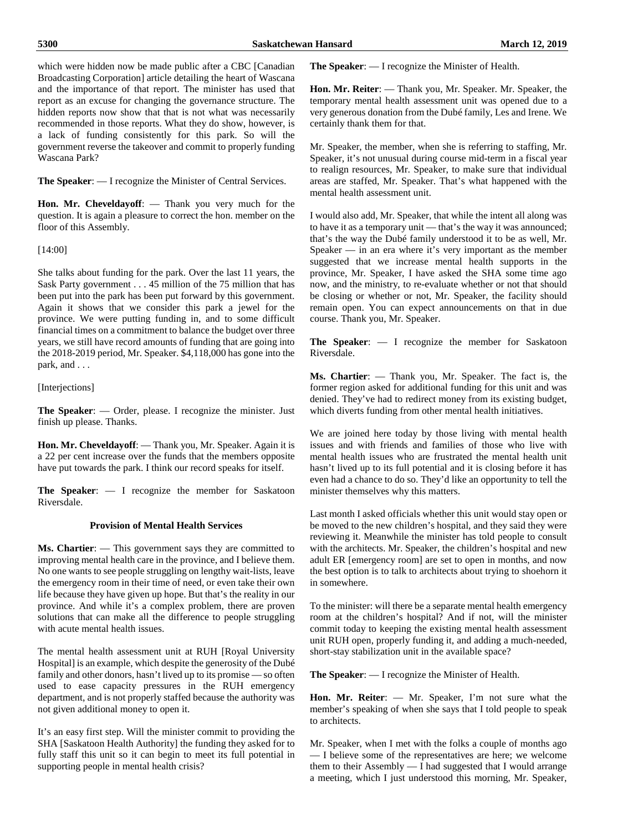which were hidden now be made public after a CBC [Canadian] Broadcasting Corporation] article detailing the heart of Wascana and the importance of that report. The minister has used that report as an excuse for changing the governance structure. The hidden reports now show that that is not what was necessarily recommended in those reports. What they do show, however, is a lack of funding consistently for this park. So will the government reverse the takeover and commit to properly funding Wascana Park?

**The Speaker**: — I recognize the Minister of Central Services.

**Hon. Mr. Cheveldayoff**: — Thank you very much for the question. It is again a pleasure to correct the hon. member on the floor of this Assembly.

[14:00]

She talks about funding for the park. Over the last 11 years, the Sask Party government . . . 45 million of the 75 million that has been put into the park has been put forward by this government. Again it shows that we consider this park a jewel for the province. We were putting funding in, and to some difficult financial times on a commitment to balance the budget over three years, we still have record amounts of funding that are going into the 2018-2019 period, Mr. Speaker. \$4,118,000 has gone into the park, and . . .

[Interjections]

**The Speaker**: — Order, please. I recognize the minister. Just finish up please. Thanks.

**Hon. Mr. Cheveldayoff**: — Thank you, Mr. Speaker. Again it is a 22 per cent increase over the funds that the members opposite have put towards the park. I think our record speaks for itself.

**The Speaker**: — I recognize the member for Saskatoon Riversdale.

# **Provision of Mental Health Services**

**Ms. Chartier**: — This government says they are committed to improving mental health care in the province, and I believe them. No one wants to see people struggling on lengthy wait-lists, leave the emergency room in their time of need, or even take their own life because they have given up hope. But that's the reality in our province. And while it's a complex problem, there are proven solutions that can make all the difference to people struggling with acute mental health issues.

The mental health assessment unit at RUH [Royal University Hospital] is an example, which despite the generosity of the Dubé family and other donors, hasn't lived up to its promise — so often used to ease capacity pressures in the RUH emergency department, and is not properly staffed because the authority was not given additional money to open it.

It's an easy first step. Will the minister commit to providing the SHA [Saskatoon Health Authority] the funding they asked for to fully staff this unit so it can begin to meet its full potential in supporting people in mental health crisis?

**The Speaker**: — I recognize the Minister of Health.

**Hon. Mr. Reiter**: — Thank you, Mr. Speaker. Mr. Speaker, the temporary mental health assessment unit was opened due to a very generous donation from the Dubé family, Les and Irene. We certainly thank them for that.

Mr. Speaker, the member, when she is referring to staffing, Mr. Speaker, it's not unusual during course mid-term in a fiscal year to realign resources, Mr. Speaker, to make sure that individual areas are staffed, Mr. Speaker. That's what happened with the mental health assessment unit.

I would also add, Mr. Speaker, that while the intent all along was to have it as a temporary unit — that's the way it was announced; that's the way the Dubé family understood it to be as well, Mr. Speaker — in an era where it's very important as the member suggested that we increase mental health supports in the province, Mr. Speaker, I have asked the SHA some time ago now, and the ministry, to re-evaluate whether or not that should be closing or whether or not, Mr. Speaker, the facility should remain open. You can expect announcements on that in due course. Thank you, Mr. Speaker.

**The Speaker**: — I recognize the member for Saskatoon Riversdale.

**Ms. Chartier**: — Thank you, Mr. Speaker. The fact is, the former region asked for additional funding for this unit and was denied. They've had to redirect money from its existing budget, which diverts funding from other mental health initiatives.

We are joined here today by those living with mental health issues and with friends and families of those who live with mental health issues who are frustrated the mental health unit hasn't lived up to its full potential and it is closing before it has even had a chance to do so. They'd like an opportunity to tell the minister themselves why this matters.

Last month I asked officials whether this unit would stay open or be moved to the new children's hospital, and they said they were reviewing it. Meanwhile the minister has told people to consult with the architects. Mr. Speaker, the children's hospital and new adult ER [emergency room] are set to open in months, and now the best option is to talk to architects about trying to shoehorn it in somewhere.

To the minister: will there be a separate mental health emergency room at the children's hospital? And if not, will the minister commit today to keeping the existing mental health assessment unit RUH open, properly funding it, and adding a much-needed, short-stay stabilization unit in the available space?

**The Speaker**: — I recognize the Minister of Health.

**Hon. Mr. Reiter**: — Mr. Speaker, I'm not sure what the member's speaking of when she says that I told people to speak to architects.

Mr. Speaker, when I met with the folks a couple of months ago — I believe some of the representatives are here; we welcome them to their Assembly — I had suggested that I would arrange a meeting, which I just understood this morning, Mr. Speaker,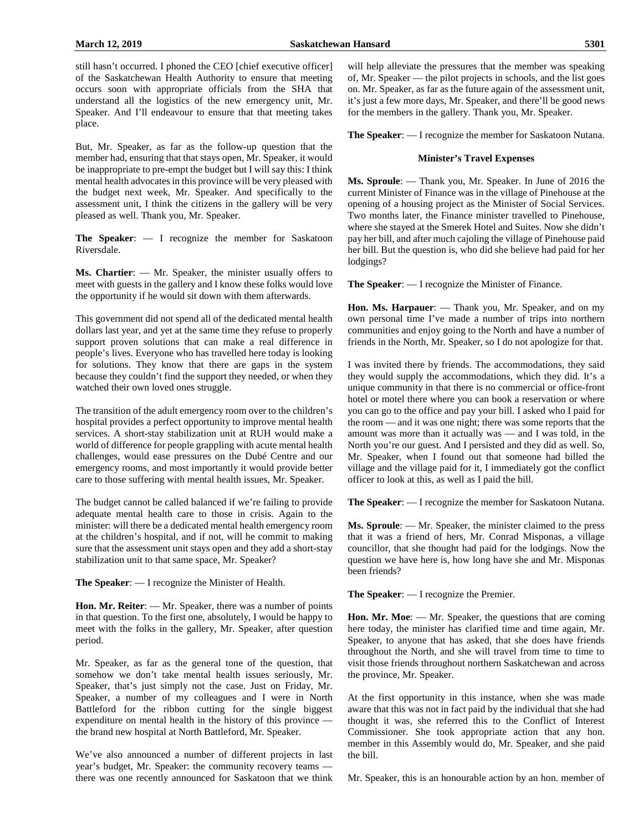still hasn't occurred. I phoned the CEO [chief executive officer] of the Saskatchewan Health Authority to ensure that meeting occurs soon with appropriate officials from the SHA that understand all the logistics of the new emergency unit, Mr. Speaker. And I'll endeavour to ensure that that meeting takes place.

But, Mr. Speaker, as far as the follow-up question that the member had, ensuring that that stays open, Mr. Speaker, it would be inappropriate to pre-empt the budget but I will say this: I think mental health advocates in this province will be very pleased with the budget next week, Mr. Speaker. And specifically to the assessment unit, I think the citizens in the gallery will be very pleased as well. Thank you, Mr. Speaker.

**The Speaker**: — I recognize the member for Saskatoon Riversdale.

**Ms. Chartier**: — Mr. Speaker, the minister usually offers to meet with guests in the gallery and I know these folks would love the opportunity if he would sit down with them afterwards.

This government did not spend all of the dedicated mental health dollars last year, and yet at the same time they refuse to properly support proven solutions that can make a real difference in people's lives. Everyone who has travelled here today is looking for solutions. They know that there are gaps in the system because they couldn't find the support they needed, or when they watched their own loved ones struggle.

The transition of the adult emergency room over to the children's hospital provides a perfect opportunity to improve mental health services. A short-stay stabilization unit at RUH would make a world of difference for people grappling with acute mental health challenges, would ease pressures on the Dubé Centre and our emergency rooms, and most importantly it would provide better care to those suffering with mental health issues, Mr. Speaker.

The budget cannot be called balanced if we're failing to provide adequate mental health care to those in crisis. Again to the minister: will there be a dedicated mental health emergency room at the children's hospital, and if not, will he commit to making sure that the assessment unit stays open and they add a short-stay stabilization unit to that same space, Mr. Speaker?

**The Speaker**: — I recognize the Minister of Health.

**Hon. Mr. Reiter**: — Mr. Speaker, there was a number of points in that question. To the first one, absolutely, I would be happy to meet with the folks in the gallery, Mr. Speaker, after question period.

Mr. Speaker, as far as the general tone of the question, that somehow we don't take mental health issues seriously, Mr. Speaker, that's just simply not the case. Just on Friday, Mr. Speaker, a number of my colleagues and I were in North Battleford for the ribbon cutting for the single biggest expenditure on mental health in the history of this province the brand new hospital at North Battleford, Mr. Speaker.

We've also announced a number of different projects in last year's budget, Mr. Speaker: the community recovery teams there was one recently announced for Saskatoon that we think will help alleviate the pressures that the member was speaking of, Mr. Speaker — the pilot projects in schools, and the list goes on. Mr. Speaker, as far as the future again of the assessment unit, it's just a few more days, Mr. Speaker, and there'll be good news for the members in the gallery. Thank you, Mr. Speaker.

**The Speaker**: — I recognize the member for Saskatoon Nutana.

#### **Minister's Travel Expenses**

**Ms. Sproule**: — Thank you, Mr. Speaker. In June of 2016 the current Minister of Finance was in the village of Pinehouse at the opening of a housing project as the Minister of Social Services. Two months later, the Finance minister travelled to Pinehouse, where she stayed at the Smerek Hotel and Suites. Now she didn't pay her bill, and after much cajoling the village of Pinehouse paid her bill. But the question is, who did she believe had paid for her lodgings?

**The Speaker**: — I recognize the Minister of Finance.

**Hon. Ms. Harpauer**: — Thank you, Mr. Speaker, and on my own personal time I've made a number of trips into northern communities and enjoy going to the North and have a number of friends in the North, Mr. Speaker, so I do not apologize for that.

I was invited there by friends. The accommodations, they said they would supply the accommodations, which they did. It's a unique community in that there is no commercial or office-front hotel or motel there where you can book a reservation or where you can go to the office and pay your bill. I asked who I paid for the room — and it was one night; there was some reports that the amount was more than it actually was — and I was told, in the North you're our guest. And I persisted and they did as well. So, Mr. Speaker, when I found out that someone had billed the village and the village paid for it, I immediately got the conflict officer to look at this, as well as I paid the bill.

**The Speaker**: — I recognize the member for Saskatoon Nutana.

**Ms. Sproule**: — Mr. Speaker, the minister claimed to the press that it was a friend of hers, Mr. Conrad Misponas, a village councillor, that she thought had paid for the lodgings. Now the question we have here is, how long have she and Mr. Misponas been friends?

**The Speaker**: — I recognize the Premier.

**Hon. Mr. Moe**: — Mr. Speaker, the questions that are coming here today, the minister has clarified time and time again, Mr. Speaker, to anyone that has asked, that she does have friends throughout the North, and she will travel from time to time to visit those friends throughout northern Saskatchewan and across the province, Mr. Speaker.

At the first opportunity in this instance, when she was made aware that this was not in fact paid by the individual that she had thought it was, she referred this to the Conflict of Interest Commissioner. She took appropriate action that any hon. member in this Assembly would do, Mr. Speaker, and she paid the bill.

Mr. Speaker, this is an honourable action by an hon. member of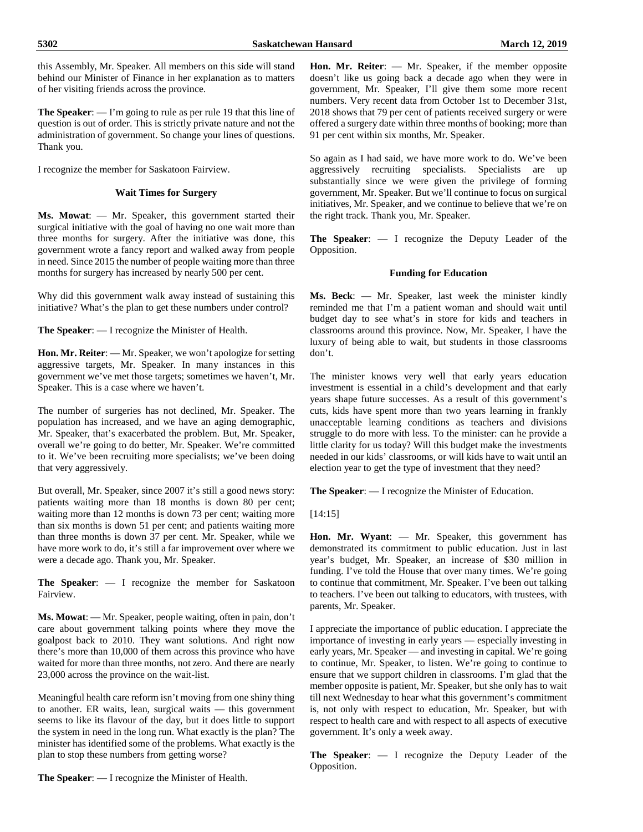this Assembly, Mr. Speaker. All members on this side will stand behind our Minister of Finance in her explanation as to matters of her visiting friends across the province.

**The Speaker**: — I'm going to rule as per rule 19 that this line of question is out of order. This is strictly private nature and not the administration of government. So change your lines of questions. Thank you.

I recognize the member for Saskatoon Fairview.

# **Wait Times for Surgery**

**Ms. Mowat**: — Mr. Speaker, this government started their surgical initiative with the goal of having no one wait more than three months for surgery. After the initiative was done, this government wrote a fancy report and walked away from people in need. Since 2015 the number of people waiting more than three months for surgery has increased by nearly 500 per cent.

Why did this government walk away instead of sustaining this initiative? What's the plan to get these numbers under control?

**The Speaker**: — I recognize the Minister of Health.

**Hon. Mr. Reiter**: — Mr. Speaker, we won't apologize for setting aggressive targets, Mr. Speaker. In many instances in this government we've met those targets; sometimes we haven't, Mr. Speaker. This is a case where we haven't.

The number of surgeries has not declined, Mr. Speaker. The population has increased, and we have an aging demographic, Mr. Speaker, that's exacerbated the problem. But, Mr. Speaker, overall we're going to do better, Mr. Speaker. We're committed to it. We've been recruiting more specialists; we've been doing that very aggressively.

But overall, Mr. Speaker, since 2007 it's still a good news story: patients waiting more than 18 months is down 80 per cent; waiting more than 12 months is down 73 per cent; waiting more than six months is down 51 per cent; and patients waiting more than three months is down  $37$  per cent. Mr. Speaker, while we have more work to do, it's still a far improvement over where we were a decade ago. Thank you, Mr. Speaker.

**The Speaker**: — I recognize the member for Saskatoon Fairview.

**Ms. Mowat**: — Mr. Speaker, people waiting, often in pain, don't care about government talking points where they move the goalpost back to 2010. They want solutions. And right now there's more than 10,000 of them across this province who have waited for more than three months, not zero. And there are nearly 23,000 across the province on the wait-list.

Meaningful health care reform isn't moving from one shiny thing to another. ER waits, lean, surgical waits — this government seems to like its flavour of the day, but it does little to support the system in need in the long run. What exactly is the plan? The minister has identified some of the problems. What exactly is the plan to stop these numbers from getting worse?

**The Speaker**: — I recognize the Minister of Health.

**Hon. Mr. Reiter**: — Mr. Speaker, if the member opposite doesn't like us going back a decade ago when they were in government, Mr. Speaker, I'll give them some more recent numbers. Very recent data from October 1st to December 31st, 2018 shows that 79 per cent of patients received surgery or were offered a surgery date within three months of booking; more than 91 per cent within six months, Mr. Speaker.

So again as I had said, we have more work to do. We've been aggressively recruiting specialists. Specialists are up substantially since we were given the privilege of forming government, Mr. Speaker. But we'll continue to focus on surgical initiatives, Mr. Speaker, and we continue to believe that we're on the right track. Thank you, Mr. Speaker.

**The Speaker**: — I recognize the Deputy Leader of the Opposition.

# **Funding for Education**

**Ms. Beck**: — Mr. Speaker, last week the minister kindly reminded me that I'm a patient woman and should wait until budget day to see what's in store for kids and teachers in classrooms around this province. Now, Mr. Speaker, I have the luxury of being able to wait, but students in those classrooms don't.

The minister knows very well that early years education investment is essential in a child's development and that early years shape future successes. As a result of this government's cuts, kids have spent more than two years learning in frankly unacceptable learning conditions as teachers and divisions struggle to do more with less. To the minister: can he provide a little clarity for us today? Will this budget make the investments needed in our kids' classrooms, or will kids have to wait until an election year to get the type of investment that they need?

**The Speaker**: — I recognize the Minister of Education.

[14:15]

**Hon. Mr. Wyant**: — Mr. Speaker, this government has demonstrated its commitment to public education. Just in last year's budget, Mr. Speaker, an increase of \$30 million in funding. I've told the House that over many times. We're going to continue that commitment, Mr. Speaker. I've been out talking to teachers. I've been out talking to educators, with trustees, with parents, Mr. Speaker.

I appreciate the importance of public education. I appreciate the importance of investing in early years — especially investing in early years, Mr. Speaker — and investing in capital. We're going to continue, Mr. Speaker, to listen. We're going to continue to ensure that we support children in classrooms. I'm glad that the member opposite is patient, Mr. Speaker, but she only has to wait till next Wednesday to hear what this government's commitment is, not only with respect to education, Mr. Speaker, but with respect to health care and with respect to all aspects of executive government. It's only a week away.

**The Speaker**: — I recognize the Deputy Leader of the Opposition.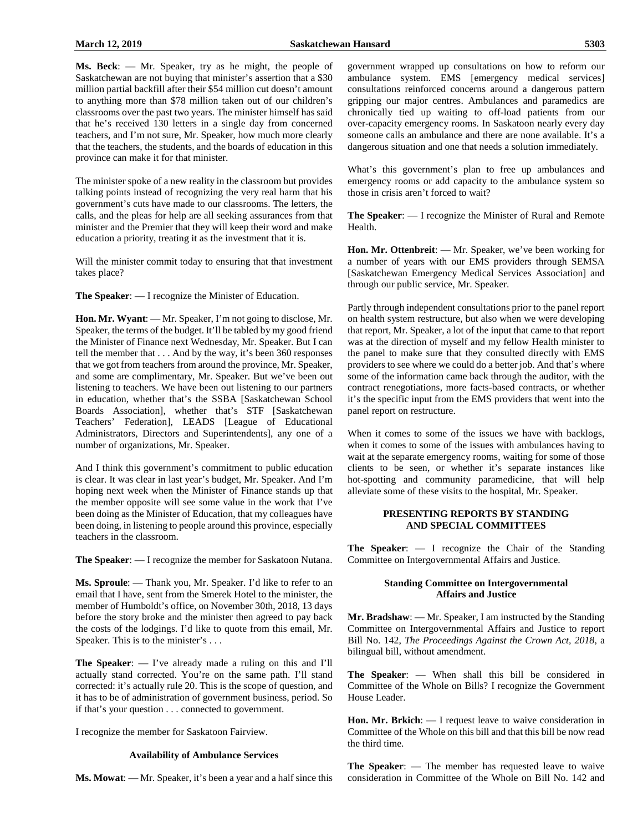**Ms. Beck**: — Mr. Speaker, try as he might, the people of Saskatchewan are not buying that minister's assertion that a \$30 million partial backfill after their \$54 million cut doesn't amount to anything more than \$78 million taken out of our children's classrooms over the past two years. The minister himself has said that he's received 130 letters in a single day from concerned teachers, and I'm not sure, Mr. Speaker, how much more clearly that the teachers, the students, and the boards of education in this province can make it for that minister.

The minister spoke of a new reality in the classroom but provides talking points instead of recognizing the very real harm that his government's cuts have made to our classrooms. The letters, the calls, and the pleas for help are all seeking assurances from that minister and the Premier that they will keep their word and make education a priority, treating it as the investment that it is.

Will the minister commit today to ensuring that that investment takes place?

**The Speaker**: — I recognize the Minister of Education.

**Hon. Mr. Wyant**: — Mr. Speaker, I'm not going to disclose, Mr. Speaker, the terms of the budget. It'll be tabled by my good friend the Minister of Finance next Wednesday, Mr. Speaker. But I can tell the member that . . . And by the way, it's been 360 responses that we got from teachers from around the province, Mr. Speaker, and some are complimentary, Mr. Speaker. But we've been out listening to teachers. We have been out listening to our partners in education, whether that's the SSBA [Saskatchewan School Boards Association], whether that's STF [Saskatchewan Teachers' Federation], LEADS [League of Educational Administrators, Directors and Superintendents], any one of a number of organizations, Mr. Speaker.

And I think this government's commitment to public education is clear. It was clear in last year's budget, Mr. Speaker. And I'm hoping next week when the Minister of Finance stands up that the member opposite will see some value in the work that I've been doing as the Minister of Education, that my colleagues have been doing, in listening to people around this province, especially teachers in the classroom.

**The Speaker**: — I recognize the member for Saskatoon Nutana.

**Ms. Sproule**: — Thank you, Mr. Speaker. I'd like to refer to an email that I have, sent from the Smerek Hotel to the minister, the member of Humboldt's office, on November 30th, 2018, 13 days before the story broke and the minister then agreed to pay back the costs of the lodgings. I'd like to quote from this email, Mr. Speaker. This is to the minister's ...

**The Speaker**: — I've already made a ruling on this and I'll actually stand corrected. You're on the same path. I'll stand corrected: it's actually rule 20. This is the scope of question, and it has to be of administration of government business, period. So if that's your question . . . connected to government.

I recognize the member for Saskatoon Fairview.

#### **Availability of Ambulance Services**

**Ms. Mowat**: — Mr. Speaker, it's been a year and a half since this

government wrapped up consultations on how to reform our ambulance system. EMS [emergency medical services] consultations reinforced concerns around a dangerous pattern gripping our major centres. Ambulances and paramedics are chronically tied up waiting to off-load patients from our over-capacity emergency rooms. In Saskatoon nearly every day someone calls an ambulance and there are none available. It's a dangerous situation and one that needs a solution immediately.

What's this government's plan to free up ambulances and emergency rooms or add capacity to the ambulance system so those in crisis aren't forced to wait?

**The Speaker**: — I recognize the Minister of Rural and Remote Health.

**Hon. Mr. Ottenbreit**: — Mr. Speaker, we've been working for a number of years with our EMS providers through SEMSA [Saskatchewan Emergency Medical Services Association] and through our public service, Mr. Speaker.

Partly through independent consultations prior to the panel report on health system restructure, but also when we were developing that report, Mr. Speaker, a lot of the input that came to that report was at the direction of myself and my fellow Health minister to the panel to make sure that they consulted directly with EMS providers to see where we could do a better job. And that's where some of the information came back through the auditor, with the contract renegotiations, more facts-based contracts, or whether it's the specific input from the EMS providers that went into the panel report on restructure.

When it comes to some of the issues we have with backlogs, when it comes to some of the issues with ambulances having to wait at the separate emergency rooms, waiting for some of those clients to be seen, or whether it's separate instances like hot-spotting and community paramedicine, that will help alleviate some of these visits to the hospital, Mr. Speaker.

#### **PRESENTING REPORTS BY STANDING AND SPECIAL COMMITTEES**

**The Speaker**: — I recognize the Chair of the Standing Committee on Intergovernmental Affairs and Justice.

#### **Standing Committee on Intergovernmental Affairs and Justice**

**Mr. Bradshaw**: — Mr. Speaker, I am instructed by the Standing Committee on Intergovernmental Affairs and Justice to report Bill No. 142, *The Proceedings Against the Crown Act, 2018*, a bilingual bill, without amendment.

**The Speaker**: — When shall this bill be considered in Committee of the Whole on Bills? I recognize the Government House Leader.

**Hon. Mr. Brkich**: — I request leave to waive consideration in Committee of the Whole on this bill and that this bill be now read the third time.

**The Speaker**: — The member has requested leave to waive consideration in Committee of the Whole on Bill No. 142 and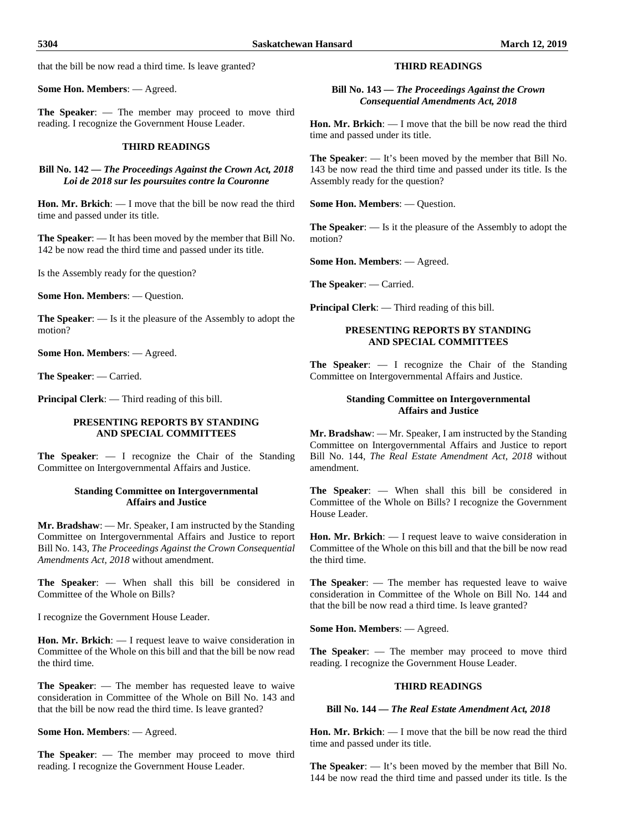that the bill be now read a third time. Is leave granted?

**Some Hon. Members**: — Agreed.

**The Speaker**: — The member may proceed to move third reading. I recognize the Government House Leader.

#### **THIRD READINGS**

**Bill No. 142 —** *The Proceedings Against the Crown Act, 2018 Loi de 2018 sur les poursuites contre la Couronne*

**Hon. Mr. Brkich**: — I move that the bill be now read the third time and passed under its title.

**The Speaker**: — It has been moved by the member that Bill No. 142 be now read the third time and passed under its title.

Is the Assembly ready for the question?

**Some Hon. Members**: — Question.

**The Speaker**: — Is it the pleasure of the Assembly to adopt the motion?

**Some Hon. Members**: — Agreed.

**The Speaker**: — Carried.

**Principal Clerk**: — Third reading of this bill.

# **PRESENTING REPORTS BY STANDING AND SPECIAL COMMITTEES**

**The Speaker**: — I recognize the Chair of the Standing Committee on Intergovernmental Affairs and Justice.

# **Standing Committee on Intergovernmental Affairs and Justice**

**Mr. Bradshaw**: — Mr. Speaker, I am instructed by the Standing Committee on Intergovernmental Affairs and Justice to report Bill No. 143, *The Proceedings Against the Crown Consequential Amendments Act, 2018* without amendment.

**The Speaker**: — When shall this bill be considered in Committee of the Whole on Bills?

I recognize the Government House Leader.

**Hon. Mr. Brkich**: — I request leave to waive consideration in Committee of the Whole on this bill and that the bill be now read the third time.

**The Speaker**: — The member has requested leave to waive consideration in Committee of the Whole on Bill No. 143 and that the bill be now read the third time. Is leave granted?

**Some Hon. Members**: — Agreed.

**The Speaker**: — The member may proceed to move third reading. I recognize the Government House Leader.

# **THIRD READINGS**

**Bill No. 143 —** *The Proceedings Against the Crown Consequential Amendments Act, 2018*

**Hon. Mr. Brkich**: — I move that the bill be now read the third time and passed under its title.

**The Speaker**: — It's been moved by the member that Bill No. 143 be now read the third time and passed under its title. Is the Assembly ready for the question?

**Some Hon. Members**: — Question.

**The Speaker**: — Is it the pleasure of the Assembly to adopt the motion?

**Some Hon. Members**: — Agreed.

**The Speaker**: — Carried.

**Principal Clerk**: — Third reading of this bill.

#### **PRESENTING REPORTS BY STANDING AND SPECIAL COMMITTEES**

**The Speaker**: — I recognize the Chair of the Standing Committee on Intergovernmental Affairs and Justice.

#### **Standing Committee on Intergovernmental Affairs and Justice**

**Mr. Bradshaw**: — Mr. Speaker, I am instructed by the Standing Committee on Intergovernmental Affairs and Justice to report Bill No. 144, *The Real Estate Amendment Act, 2018* without amendment.

**The Speaker**: — When shall this bill be considered in Committee of the Whole on Bills? I recognize the Government House Leader.

**Hon. Mr. Brkich**: — I request leave to waive consideration in Committee of the Whole on this bill and that the bill be now read the third time.

**The Speaker**: — The member has requested leave to waive consideration in Committee of the Whole on Bill No. 144 and that the bill be now read a third time. Is leave granted?

**Some Hon. Members**: — Agreed.

**The Speaker**: — The member may proceed to move third reading. I recognize the Government House Leader.

#### **THIRD READINGS**

#### **Bill No. 144 —** *The Real Estate Amendment Act, 2018*

**Hon. Mr. Brkich**: — I move that the bill be now read the third time and passed under its title.

**The Speaker**: — It's been moved by the member that Bill No. 144 be now read the third time and passed under its title. Is the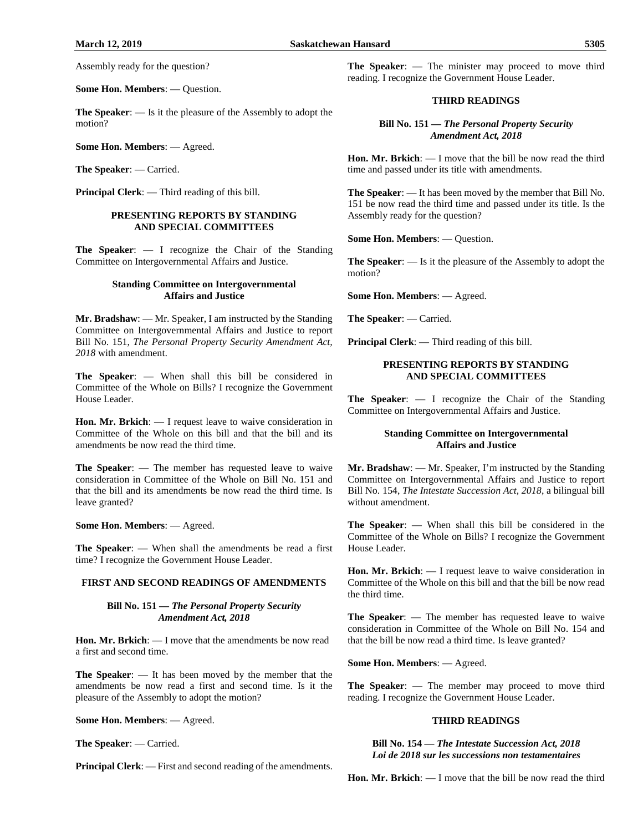Assembly ready for the question?

**Some Hon. Members**: — Question.

**The Speaker**: — Is it the pleasure of the Assembly to adopt the motion?

**Some Hon. Members**: — Agreed.

**The Speaker**: — Carried.

**Principal Clerk**: — Third reading of this bill.

#### **PRESENTING REPORTS BY STANDING AND SPECIAL COMMITTEES**

**The Speaker**: — I recognize the Chair of the Standing Committee on Intergovernmental Affairs and Justice.

#### **Standing Committee on Intergovernmental Affairs and Justice**

**Mr. Bradshaw**: — Mr. Speaker, I am instructed by the Standing Committee on Intergovernmental Affairs and Justice to report Bill No. 151, *The Personal Property Security Amendment Act, 2018* with amendment.

**The Speaker**: — When shall this bill be considered in Committee of the Whole on Bills? I recognize the Government House Leader.

**Hon. Mr. Brkich**: — I request leave to waive consideration in Committee of the Whole on this bill and that the bill and its amendments be now read the third time.

**The Speaker**: — The member has requested leave to waive consideration in Committee of the Whole on Bill No. 151 and that the bill and its amendments be now read the third time. Is leave granted?

**Some Hon. Members**: — Agreed.

**The Speaker**: — When shall the amendments be read a first time? I recognize the Government House Leader.

#### **FIRST AND SECOND READINGS OF AMENDMENTS**

#### **Bill No. 151 —** *The Personal Property Security Amendment Act, 2018*

**Hon. Mr. Brkich**: — I move that the amendments be now read a first and second time.

**The Speaker**: — It has been moved by the member that the amendments be now read a first and second time. Is it the pleasure of the Assembly to adopt the motion?

**Some Hon. Members**: — Agreed.

**The Speaker**: — Carried.

**Principal Clerk:** — First and second reading of the amendments.

**The Speaker**: — The minister may proceed to move third reading. I recognize the Government House Leader.

#### **THIRD READINGS**

**Bill No. 151 —** *The Personal Property Security Amendment Act, 2018*

**Hon. Mr. Brkich**: — I move that the bill be now read the third time and passed under its title with amendments.

**The Speaker**: — It has been moved by the member that Bill No. 151 be now read the third time and passed under its title. Is the Assembly ready for the question?

**Some Hon. Members**: — Question.

**The Speaker**: — Is it the pleasure of the Assembly to adopt the motion?

**Some Hon. Members**: — Agreed.

**The Speaker**: — Carried.

**Principal Clerk**: — Third reading of this bill.

# **PRESENTING REPORTS BY STANDING AND SPECIAL COMMITTEES**

**The Speaker**: — I recognize the Chair of the Standing Committee on Intergovernmental Affairs and Justice.

#### **Standing Committee on Intergovernmental Affairs and Justice**

**Mr. Bradshaw**: — Mr. Speaker, I'm instructed by the Standing Committee on Intergovernmental Affairs and Justice to report Bill No. 154, *The Intestate Succession Act, 2018*, a bilingual bill without amendment.

**The Speaker**: — When shall this bill be considered in the Committee of the Whole on Bills? I recognize the Government House Leader.

**Hon. Mr. Brkich**: — I request leave to waive consideration in Committee of the Whole on this bill and that the bill be now read the third time.

**The Speaker**: — The member has requested leave to waive consideration in Committee of the Whole on Bill No. 154 and that the bill be now read a third time. Is leave granted?

**Some Hon. Members**: — Agreed.

**The Speaker**: — The member may proceed to move third reading. I recognize the Government House Leader.

#### **THIRD READINGS**

**Bill No. 154 —** *The Intestate Succession Act, 2018 Loi de 2018 sur les successions non testamentaires*

**Hon. Mr. Brkich**: — I move that the bill be now read the third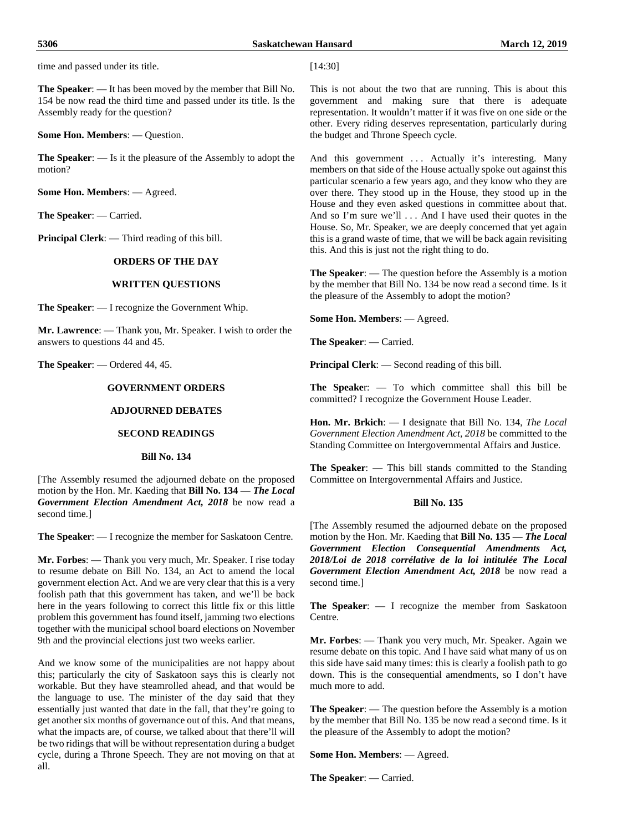**The Speaker**: — It has been moved by the member that Bill No. 154 be now read the third time and passed under its title. Is the Assembly ready for the question?

**Some Hon. Members**: — Question.

**The Speaker**: — Is it the pleasure of the Assembly to adopt the motion?

**Some Hon. Members**: — Agreed.

**The Speaker**: — Carried.

**Principal Clerk**: — Third reading of this bill.

# **ORDERS OF THE DAY**

#### **WRITTEN QUESTIONS**

**The Speaker**: — I recognize the Government Whip.

**Mr. Lawrence**: — Thank you, Mr. Speaker. I wish to order the answers to questions 44 and 45.

**The Speaker**: — Ordered 44, 45.

# **GOVERNMENT ORDERS**

#### **ADJOURNED DEBATES**

# **SECOND READINGS**

#### **Bill No. 134**

[The Assembly resumed the adjourned debate on the proposed motion by the Hon. Mr. Kaeding that **Bill No. 134 —** *The Local Government Election Amendment Act, 2018* be now read a second time.]

**The Speaker**: — I recognize the member for Saskatoon Centre.

**Mr. Forbes**: — Thank you very much, Mr. Speaker. I rise today to resume debate on Bill No. 134, an Act to amend the local government election Act. And we are very clear that this is a very foolish path that this government has taken, and we'll be back here in the years following to correct this little fix or this little problem this government has found itself, jamming two elections together with the municipal school board elections on November 9th and the provincial elections just two weeks earlier.

And we know some of the municipalities are not happy about this; particularly the city of Saskatoon says this is clearly not workable. But they have steamrolled ahead, and that would be the language to use. The minister of the day said that they essentially just wanted that date in the fall, that they're going to get another six months of governance out of this. And that means, what the impacts are, of course, we talked about that there'll will be two ridings that will be without representation during a budget cycle, during a Throne Speech. They are not moving on that at all.

[14:30]

This is not about the two that are running. This is about this government and making sure that there is adequate representation. It wouldn't matter if it was five on one side or the other. Every riding deserves representation, particularly during the budget and Throne Speech cycle.

And this government ... Actually it's interesting. Many members on that side of the House actually spoke out against this particular scenario a few years ago, and they know who they are over there. They stood up in the House, they stood up in the House and they even asked questions in committee about that. And so I'm sure we'll . . . And I have used their quotes in the House. So, Mr. Speaker, we are deeply concerned that yet again this is a grand waste of time, that we will be back again revisiting this. And this is just not the right thing to do.

**The Speaker**: — The question before the Assembly is a motion by the member that Bill No. 134 be now read a second time. Is it the pleasure of the Assembly to adopt the motion?

**Some Hon. Members**: — Agreed.

**The Speaker**: — Carried.

**Principal Clerk**: — Second reading of this bill.

**The Speake**r: — To which committee shall this bill be committed? I recognize the Government House Leader.

**Hon. Mr. Brkich**: — I designate that Bill No. 134, *The Local Government Election Amendment Act, 2018* be committed to the Standing Committee on Intergovernmental Affairs and Justice.

**The Speaker**: — This bill stands committed to the Standing Committee on Intergovernmental Affairs and Justice.

#### **Bill No. 135**

[The Assembly resumed the adjourned debate on the proposed motion by the Hon. Mr. Kaeding that **Bill No. 135 —** *The Local Government Election Consequential Amendments Act, 2018/Loi de 2018 corrélative de la loi intitulée The Local Government Election Amendment Act, 2018* be now read a second time.]

**The Speaker**: — I recognize the member from Saskatoon Centre.

**Mr. Forbes**: — Thank you very much, Mr. Speaker. Again we resume debate on this topic. And I have said what many of us on this side have said many times: this is clearly a foolish path to go down. This is the consequential amendments, so I don't have much more to add.

**The Speaker**: — The question before the Assembly is a motion by the member that Bill No. 135 be now read a second time. Is it the pleasure of the Assembly to adopt the motion?

**Some Hon. Members**: — Agreed.

**The Speaker**: — Carried.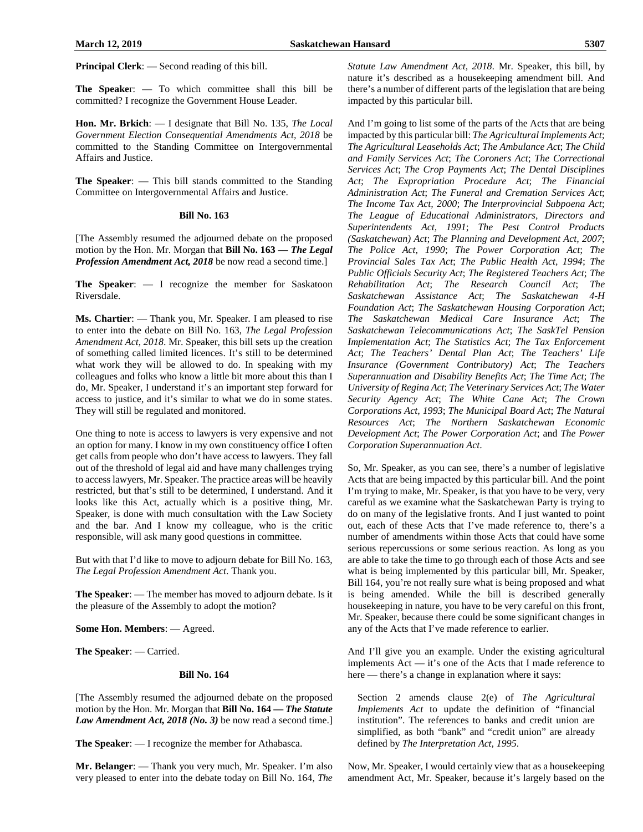**Principal Clerk**: — Second reading of this bill.

**The Speake**r: — To which committee shall this bill be committed? I recognize the Government House Leader.

**Hon. Mr. Brkich**: — I designate that Bill No. 135, *The Local Government Election Consequential Amendments Act, 2018* be committed to the Standing Committee on Intergovernmental Affairs and Justice.

**The Speaker**: — This bill stands committed to the Standing Committee on Intergovernmental Affairs and Justice.

#### **Bill No. 163**

[The Assembly resumed the adjourned debate on the proposed motion by the Hon. Mr. Morgan that **Bill No. 163 —** *The Legal Profession Amendment Act, 2018* be now read a second time.]

**The Speaker**: — I recognize the member for Saskatoon Riversdale.

**Ms. Chartier**: — Thank you, Mr. Speaker. I am pleased to rise to enter into the debate on Bill No. 163, *The Legal Profession Amendment Act, 2018*. Mr. Speaker, this bill sets up the creation of something called limited licences. It's still to be determined what work they will be allowed to do. In speaking with my colleagues and folks who know a little bit more about this than I do, Mr. Speaker, I understand it's an important step forward for access to justice, and it's similar to what we do in some states. They will still be regulated and monitored.

One thing to note is access to lawyers is very expensive and not an option for many. I know in my own constituency office I often get calls from people who don't have access to lawyers. They fall out of the threshold of legal aid and have many challenges trying to access lawyers, Mr. Speaker. The practice areas will be heavily restricted, but that's still to be determined, I understand. And it looks like this Act, actually which is a positive thing, Mr. Speaker, is done with much consultation with the Law Society and the bar. And I know my colleague, who is the critic responsible, will ask many good questions in committee.

But with that I'd like to move to adjourn debate for Bill No. 163, *The Legal Profession Amendment Act*. Thank you.

**The Speaker**: — The member has moved to adjourn debate. Is it the pleasure of the Assembly to adopt the motion?

**Some Hon. Members**: — Agreed.

**The Speaker**: — Carried.

#### **Bill No. 164**

[The Assembly resumed the adjourned debate on the proposed motion by the Hon. Mr. Morgan that **Bill No. 164 —** *The Statute Law Amendment Act, 2018 (No. 3)* be now read a second time.]

**The Speaker**: — I recognize the member for Athabasca.

**Mr. Belanger**: — Thank you very much, Mr. Speaker. I'm also very pleased to enter into the debate today on Bill No. 164, *The*  *Statute Law Amendment Act, 2018*. Mr. Speaker, this bill, by nature it's described as a housekeeping amendment bill. And there's a number of different parts of the legislation that are being impacted by this particular bill.

And I'm going to list some of the parts of the Acts that are being impacted by this particular bill: *The Agricultural Implements Act*; *The Agricultural Leaseholds Act*; *The Ambulance Act*; *The Child and Family Services Act*; *The Coroners Act*; *The Correctional Services Act*; *The Crop Payments Act*; *The Dental Disciplines Act*; *The Expropriation Procedure Act*; *The Financial Administration Act*; *The Funeral and Cremation Services Act*; *The Income Tax Act, 2000*; *The Interprovincial Subpoena Act*; *The League of Educational Administrators, Directors and Superintendents Act, 1991*; *The Pest Control Products (Saskatchewan) Act*; *The Planning and Development Act, 2007*; *The Police Act, 1990*; *The Power Corporation Act*; *The Provincial Sales Tax Act*; *The Public Health Act, 1994*; *The Public Officials Security Act*; *The Registered Teachers Act*; *The Rehabilitation Act*; *The Research Council Act*; *The Saskatchewan Assistance Act*; *The Saskatchewan 4-H Foundation Act*; *The Saskatchewan Housing Corporation Act*; *The Saskatchewan Medical Care Insurance Act*; *The Saskatchewan Telecommunications Act*; *The SaskTel Pension Implementation Act*; *The Statistics Act*; *The Tax Enforcement Act*; *The Teachers' Dental Plan Act*; *The Teachers' Life Insurance (Government Contributory) Act*; *The Teachers Superannuation and Disability Benefits Act*; *The Time Act*; *The University of Regina Act*; *The Veterinary Services Act*; *The Water Security Agency Act*; *The White Cane Act*; *The Crown Corporations Act, 1993*; *The Municipal Board Act*; *The Natural Resources Act*; *The Northern Saskatchewan Economic Development Act*; *The Power Corporation Act*; and *The Power Corporation Superannuation Act*.

So, Mr. Speaker, as you can see, there's a number of legislative Acts that are being impacted by this particular bill. And the point I'm trying to make, Mr. Speaker, is that you have to be very, very careful as we examine what the Saskatchewan Party is trying to do on many of the legislative fronts. And I just wanted to point out, each of these Acts that I've made reference to, there's a number of amendments within those Acts that could have some serious repercussions or some serious reaction. As long as you are able to take the time to go through each of those Acts and see what is being implemented by this particular bill, Mr. Speaker, Bill 164, you're not really sure what is being proposed and what is being amended. While the bill is described generally housekeeping in nature, you have to be very careful on this front, Mr. Speaker, because there could be some significant changes in any of the Acts that I've made reference to earlier.

And I'll give you an example. Under the existing agricultural implements Act — it's one of the Acts that I made reference to here — there's a change in explanation where it says:

Section 2 amends clause 2(e) of *The Agricultural Implements Act* to update the definition of "financial institution". The references to banks and credit union are simplified, as both "bank" and "credit union" are already defined by *The Interpretation Act, 1995*.

Now, Mr. Speaker, I would certainly view that as a housekeeping amendment Act, Mr. Speaker, because it's largely based on the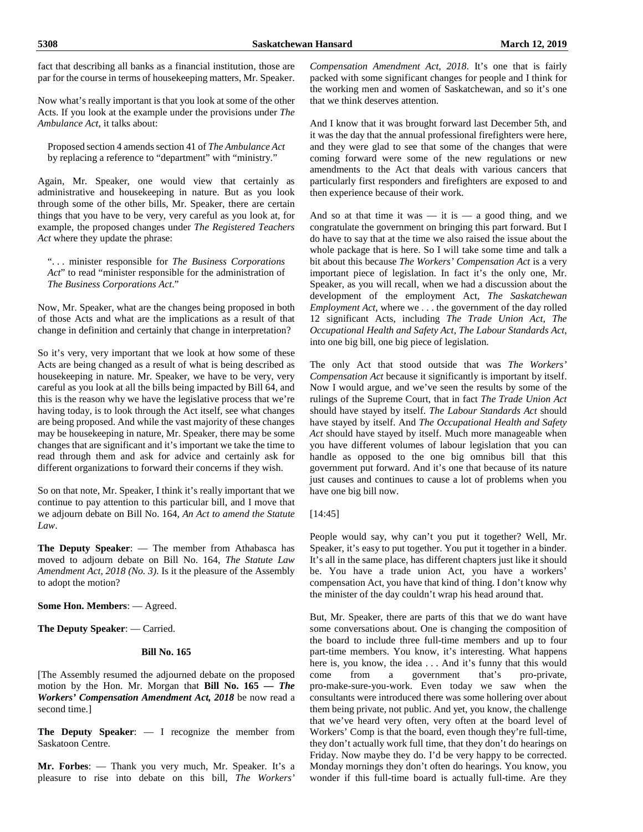fact that describing all banks as a financial institution, those are par for the course in terms of housekeeping matters, Mr. Speaker.

Now what's really important is that you look at some of the other Acts. If you look at the example under the provisions under *The Ambulance Act*, it talks about:

Proposed section 4 amends section 41 of *The Ambulance Act* by replacing a reference to "department" with "ministry."

Again, Mr. Speaker, one would view that certainly as administrative and housekeeping in nature. But as you look through some of the other bills, Mr. Speaker, there are certain things that you have to be very, very careful as you look at, for example, the proposed changes under *The Registered Teachers Act* where they update the phrase:

". . . minister responsible for *The Business Corporations Act*" to read "minister responsible for the administration of *The Business Corporations Act*."

Now, Mr. Speaker, what are the changes being proposed in both of those Acts and what are the implications as a result of that change in definition and certainly that change in interpretation?

So it's very, very important that we look at how some of these Acts are being changed as a result of what is being described as housekeeping in nature. Mr. Speaker, we have to be very, very careful as you look at all the bills being impacted by Bill 64, and this is the reason why we have the legislative process that we're having today, is to look through the Act itself, see what changes are being proposed. And while the vast majority of these changes may be housekeeping in nature, Mr. Speaker, there may be some changes that are significant and it's important we take the time to read through them and ask for advice and certainly ask for different organizations to forward their concerns if they wish.

So on that note, Mr. Speaker, I think it's really important that we continue to pay attention to this particular bill, and I move that we adjourn debate on Bill No. 164, *An Act to amend the Statute Law*.

**The Deputy Speaker**: — The member from Athabasca has moved to adjourn debate on Bill No. 164, *The Statute Law Amendment Act, 2018 (No. 3)*. Is it the pleasure of the Assembly to adopt the motion?

**Some Hon. Members**: — Agreed.

**The Deputy Speaker**: — Carried.

#### **Bill No. 165**

[The Assembly resumed the adjourned debate on the proposed motion by the Hon. Mr. Morgan that **Bill No. 165 —** *The Workers' Compensation Amendment Act, 2018* be now read a second time.]

**The Deputy Speaker**: — I recognize the member from Saskatoon Centre.

**Mr. Forbes**: — Thank you very much, Mr. Speaker. It's a pleasure to rise into debate on this bill, *The Workers'* 

*Compensation Amendment Act, 2018*. It's one that is fairly packed with some significant changes for people and I think for the working men and women of Saskatchewan, and so it's one that we think deserves attention.

And I know that it was brought forward last December 5th, and it was the day that the annual professional firefighters were here, and they were glad to see that some of the changes that were coming forward were some of the new regulations or new amendments to the Act that deals with various cancers that particularly first responders and firefighters are exposed to and then experience because of their work.

And so at that time it was — it is — a good thing, and we congratulate the government on bringing this part forward. But I do have to say that at the time we also raised the issue about the whole package that is here. So I will take some time and talk a bit about this because *The Workers' Compensation Act* is a very important piece of legislation. In fact it's the only one, Mr. Speaker, as you will recall, when we had a discussion about the development of the employment Act, *The Saskatchewan Employment Act*, where we . . . the government of the day rolled 12 significant Acts, including *The Trade Union Act*, *The Occupational Health and Safety Act*, *The Labour Standards Act*, into one big bill, one big piece of legislation.

The only Act that stood outside that was *The Workers' Compensation Act* because it significantly is important by itself. Now I would argue, and we've seen the results by some of the rulings of the Supreme Court, that in fact *The Trade Union Act* should have stayed by itself. *The Labour Standards Act* should have stayed by itself. And *The Occupational Health and Safety Act* should have stayed by itself. Much more manageable when you have different volumes of labour legislation that you can handle as opposed to the one big omnibus bill that this government put forward. And it's one that because of its nature just causes and continues to cause a lot of problems when you have one big bill now.

# [14:45]

People would say, why can't you put it together? Well, Mr. Speaker, it's easy to put together. You put it together in a binder. It's all in the same place, has different chapters just like it should be. You have a trade union Act, you have a workers' compensation Act, you have that kind of thing. I don't know why the minister of the day couldn't wrap his head around that.

But, Mr. Speaker, there are parts of this that we do want have some conversations about. One is changing the composition of the board to include three full-time members and up to four part-time members. You know, it's interesting. What happens here is, you know, the idea . . . And it's funny that this would come from a government that's pro-private, pro-make-sure-you-work. Even today we saw when the consultants were introduced there was some hollering over about them being private, not public. And yet, you know, the challenge that we've heard very often, very often at the board level of Workers' Comp is that the board, even though they're full-time, they don't actually work full time, that they don't do hearings on Friday. Now maybe they do. I'd be very happy to be corrected. Monday mornings they don't often do hearings. You know, you wonder if this full-time board is actually full-time. Are they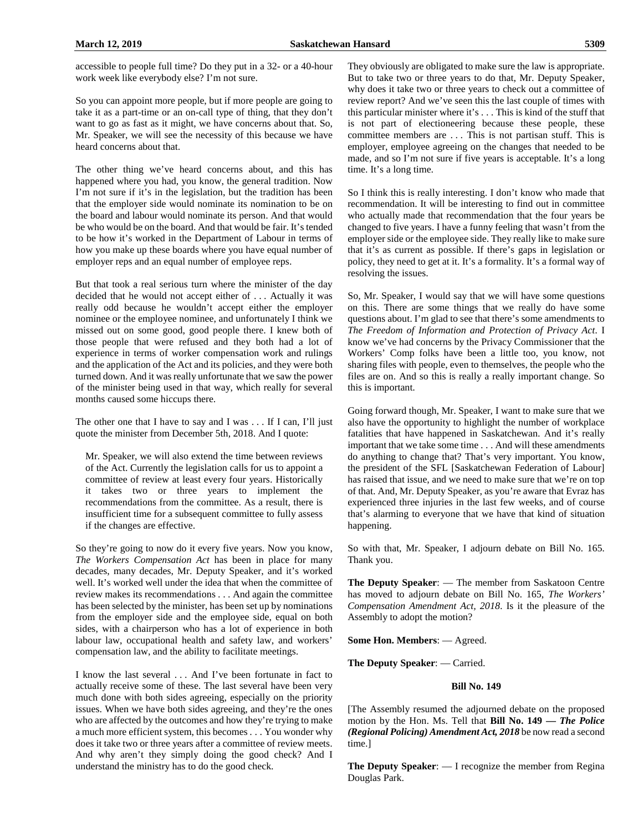So you can appoint more people, but if more people are going to take it as a part-time or an on-call type of thing, that they don't want to go as fast as it might, we have concerns about that. So, Mr. Speaker, we will see the necessity of this because we have heard concerns about that.

The other thing we've heard concerns about, and this has happened where you had, you know, the general tradition. Now I'm not sure if it's in the legislation, but the tradition has been that the employer side would nominate its nomination to be on the board and labour would nominate its person. And that would be who would be on the board. And that would be fair. It's tended to be how it's worked in the Department of Labour in terms of how you make up these boards where you have equal number of employer reps and an equal number of employee reps.

But that took a real serious turn where the minister of the day decided that he would not accept either of . . . Actually it was really odd because he wouldn't accept either the employer nominee or the employee nominee, and unfortunately I think we missed out on some good, good people there. I knew both of those people that were refused and they both had a lot of experience in terms of worker compensation work and rulings and the application of the Act and its policies, and they were both turned down. And it was really unfortunate that we saw the power of the minister being used in that way, which really for several months caused some hiccups there.

The other one that I have to say and I was . . . If I can, I'll just quote the minister from December 5th, 2018. And I quote:

Mr. Speaker, we will also extend the time between reviews of the Act. Currently the legislation calls for us to appoint a committee of review at least every four years. Historically it takes two or three years to implement the recommendations from the committee. As a result, there is insufficient time for a subsequent committee to fully assess if the changes are effective.

So they're going to now do it every five years. Now you know, *The Workers Compensation Act* has been in place for many decades, many decades, Mr. Deputy Speaker, and it's worked well. It's worked well under the idea that when the committee of review makes its recommendations . . . And again the committee has been selected by the minister, has been set up by nominations from the employer side and the employee side, equal on both sides, with a chairperson who has a lot of experience in both labour law, occupational health and safety law, and workers' compensation law, and the ability to facilitate meetings.

I know the last several . . . And I've been fortunate in fact to actually receive some of these. The last several have been very much done with both sides agreeing, especially on the priority issues. When we have both sides agreeing, and they're the ones who are affected by the outcomes and how they're trying to make a much more efficient system, this becomes . . . You wonder why does it take two or three years after a committee of review meets. And why aren't they simply doing the good check? And I understand the ministry has to do the good check.

They obviously are obligated to make sure the law is appropriate. But to take two or three years to do that, Mr. Deputy Speaker, why does it take two or three years to check out a committee of review report? And we've seen this the last couple of times with this particular minister where it's . . . This is kind of the stuff that is not part of electioneering because these people, these committee members are . . . This is not partisan stuff. This is employer, employee agreeing on the changes that needed to be made, and so I'm not sure if five years is acceptable. It's a long time. It's a long time.

So I think this is really interesting. I don't know who made that recommendation. It will be interesting to find out in committee who actually made that recommendation that the four years be changed to five years. I have a funny feeling that wasn't from the employer side or the employee side. They really like to make sure that it's as current as possible. If there's gaps in legislation or policy, they need to get at it. It's a formality. It's a formal way of resolving the issues.

So, Mr. Speaker, I would say that we will have some questions on this. There are some things that we really do have some questions about. I'm glad to see that there's some amendments to *The Freedom of Information and Protection of Privacy Act*. I know we've had concerns by the Privacy Commissioner that the Workers' Comp folks have been a little too, you know, not sharing files with people, even to themselves, the people who the files are on. And so this is really a really important change. So this is important.

Going forward though, Mr. Speaker, I want to make sure that we also have the opportunity to highlight the number of workplace fatalities that have happened in Saskatchewan. And it's really important that we take some time . . . And will these amendments do anything to change that? That's very important. You know, the president of the SFL [Saskatchewan Federation of Labour] has raised that issue, and we need to make sure that we're on top of that. And, Mr. Deputy Speaker, as you're aware that Evraz has experienced three injuries in the last few weeks, and of course that's alarming to everyone that we have that kind of situation happening.

So with that, Mr. Speaker, I adjourn debate on Bill No. 165. Thank you.

**The Deputy Speaker**: — The member from Saskatoon Centre has moved to adjourn debate on Bill No. 165, *The Workers' Compensation Amendment Act, 2018*. Is it the pleasure of the Assembly to adopt the motion?

**Some Hon. Members**: — Agreed.

**The Deputy Speaker**: — Carried.

#### **Bill No. 149**

[The Assembly resumed the adjourned debate on the proposed motion by the Hon. Ms. Tell that **Bill No. 149 —** *The Police (Regional Policing) Amendment Act, 2018* be now read a second time.]

**The Deputy Speaker**: — I recognize the member from Regina Douglas Park.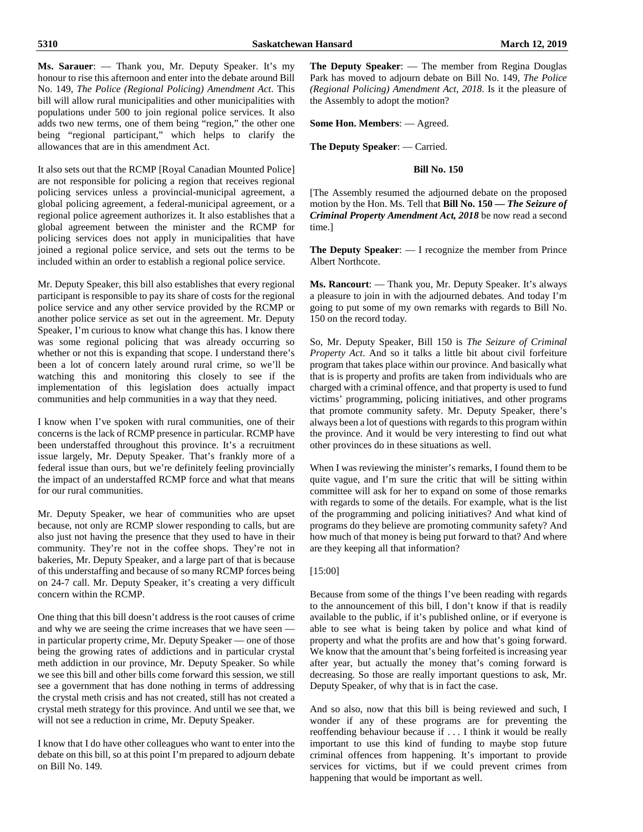#### **Ms. Sarauer**: — Thank you, Mr. Deputy Speaker. It's my honour to rise this afternoon and enter into the debate around Bill No. 149, *The Police (Regional Policing) Amendment Act*. This bill will allow rural municipalities and other municipalities with populations under 500 to join regional police services. It also adds two new terms, one of them being "region," the other one being "regional participant," which helps to clarify the allowances that are in this amendment Act.

It also sets out that the RCMP [Royal Canadian Mounted Police] are not responsible for policing a region that receives regional policing services unless a provincial-municipal agreement, a global policing agreement, a federal-municipal agreement, or a regional police agreement authorizes it. It also establishes that a global agreement between the minister and the RCMP for policing services does not apply in municipalities that have joined a regional police service, and sets out the terms to be included within an order to establish a regional police service.

Mr. Deputy Speaker, this bill also establishes that every regional participant is responsible to pay its share of costs for the regional police service and any other service provided by the RCMP or another police service as set out in the agreement. Mr. Deputy Speaker, I'm curious to know what change this has. I know there was some regional policing that was already occurring so whether or not this is expanding that scope. I understand there's been a lot of concern lately around rural crime, so we'll be watching this and monitoring this closely to see if the implementation of this legislation does actually impact communities and help communities in a way that they need.

I know when I've spoken with rural communities, one of their concerns is the lack of RCMP presence in particular. RCMP have been understaffed throughout this province. It's a recruitment issue largely, Mr. Deputy Speaker. That's frankly more of a federal issue than ours, but we're definitely feeling provincially the impact of an understaffed RCMP force and what that means for our rural communities.

Mr. Deputy Speaker, we hear of communities who are upset because, not only are RCMP slower responding to calls, but are also just not having the presence that they used to have in their community. They're not in the coffee shops. They're not in bakeries, Mr. Deputy Speaker, and a large part of that is because of this understaffing and because of so many RCMP forces being on 24-7 call. Mr. Deputy Speaker, it's creating a very difficult concern within the RCMP.

One thing that this bill doesn't address is the root causes of crime and why we are seeing the crime increases that we have seen in particular property crime, Mr. Deputy Speaker — one of those being the growing rates of addictions and in particular crystal meth addiction in our province, Mr. Deputy Speaker. So while we see this bill and other bills come forward this session, we still see a government that has done nothing in terms of addressing the crystal meth crisis and has not created, still has not created a crystal meth strategy for this province. And until we see that, we will not see a reduction in crime, Mr. Deputy Speaker.

I know that I do have other colleagues who want to enter into the debate on this bill, so at this point I'm prepared to adjourn debate on Bill No. 149.

**The Deputy Speaker**: — The member from Regina Douglas Park has moved to adjourn debate on Bill No. 149, *The Police (Regional Policing) Amendment Act, 2018*. Is it the pleasure of the Assembly to adopt the motion?

**Some Hon. Members**: — Agreed.

**The Deputy Speaker**: — Carried.

#### **Bill No. 150**

[The Assembly resumed the adjourned debate on the proposed motion by the Hon. Ms. Tell that **Bill No. 150 —** *The Seizure of Criminal Property Amendment Act, 2018* be now read a second time.]

**The Deputy Speaker**: — I recognize the member from Prince Albert Northcote.

**Ms. Rancourt**: — Thank you, Mr. Deputy Speaker. It's always a pleasure to join in with the adjourned debates. And today I'm going to put some of my own remarks with regards to Bill No. 150 on the record today.

So, Mr. Deputy Speaker, Bill 150 is *The Seizure of Criminal Property Act*. And so it talks a little bit about civil forfeiture program that takes place within our province. And basically what that is is property and profits are taken from individuals who are charged with a criminal offence, and that property is used to fund victims' programming, policing initiatives, and other programs that promote community safety. Mr. Deputy Speaker, there's always been a lot of questions with regards to this program within the province. And it would be very interesting to find out what other provinces do in these situations as well.

When I was reviewing the minister's remarks, I found them to be quite vague, and I'm sure the critic that will be sitting within committee will ask for her to expand on some of those remarks with regards to some of the details. For example, what is the list of the programming and policing initiatives? And what kind of programs do they believe are promoting community safety? And how much of that money is being put forward to that? And where are they keeping all that information?

#### [15:00]

Because from some of the things I've been reading with regards to the announcement of this bill, I don't know if that is readily available to the public, if it's published online, or if everyone is able to see what is being taken by police and what kind of property and what the profits are and how that's going forward. We know that the amount that's being forfeited is increasing year after year, but actually the money that's coming forward is decreasing. So those are really important questions to ask, Mr. Deputy Speaker, of why that is in fact the case.

And so also, now that this bill is being reviewed and such, I wonder if any of these programs are for preventing the reoffending behaviour because if . . . I think it would be really important to use this kind of funding to maybe stop future criminal offences from happening. It's important to provide services for victims, but if we could prevent crimes from happening that would be important as well.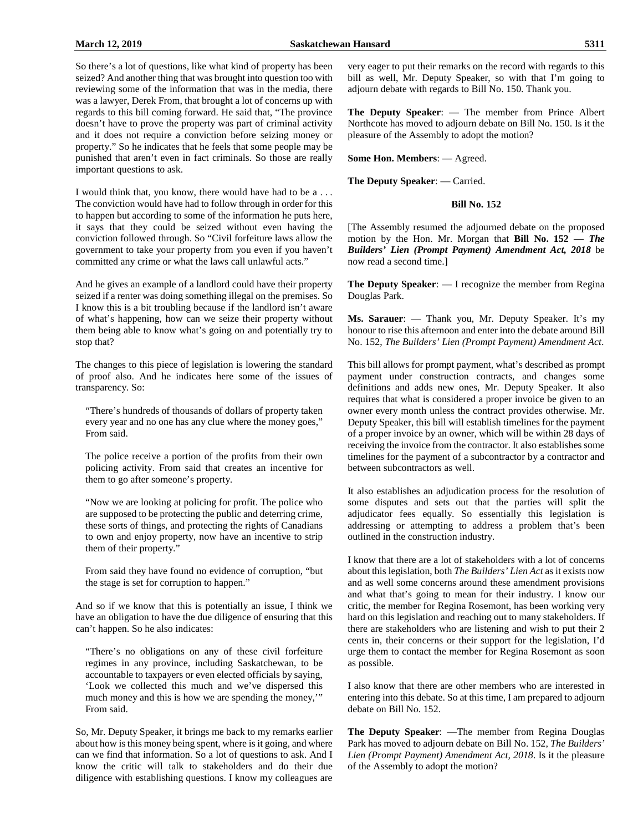So there's a lot of questions, like what kind of property has been seized? And another thing that was brought into question too with reviewing some of the information that was in the media, there was a lawyer, Derek From, that brought a lot of concerns up with regards to this bill coming forward. He said that, "The province doesn't have to prove the property was part of criminal activity and it does not require a conviction before seizing money or property." So he indicates that he feels that some people may be punished that aren't even in fact criminals. So those are really important questions to ask.

I would think that, you know, there would have had to be a . . . The conviction would have had to follow through in order for this to happen but according to some of the information he puts here, it says that they could be seized without even having the conviction followed through. So "Civil forfeiture laws allow the government to take your property from you even if you haven't committed any crime or what the laws call unlawful acts."

And he gives an example of a landlord could have their property seized if a renter was doing something illegal on the premises. So I know this is a bit troubling because if the landlord isn't aware of what's happening, how can we seize their property without them being able to know what's going on and potentially try to stop that?

The changes to this piece of legislation is lowering the standard of proof also. And he indicates here some of the issues of transparency. So:

"There's hundreds of thousands of dollars of property taken every year and no one has any clue where the money goes," From said.

The police receive a portion of the profits from their own policing activity. From said that creates an incentive for them to go after someone's property.

"Now we are looking at policing for profit. The police who are supposed to be protecting the public and deterring crime, these sorts of things, and protecting the rights of Canadians to own and enjoy property, now have an incentive to strip them of their property."

From said they have found no evidence of corruption, "but the stage is set for corruption to happen."

And so if we know that this is potentially an issue, I think we have an obligation to have the due diligence of ensuring that this can't happen. So he also indicates:

"There's no obligations on any of these civil forfeiture regimes in any province, including Saskatchewan, to be accountable to taxpayers or even elected officials by saying, 'Look we collected this much and we've dispersed this much money and this is how we are spending the money,'" From said.

So, Mr. Deputy Speaker, it brings me back to my remarks earlier about how is this money being spent, where is it going, and where can we find that information. So a lot of questions to ask. And I know the critic will talk to stakeholders and do their due diligence with establishing questions. I know my colleagues are very eager to put their remarks on the record with regards to this bill as well, Mr. Deputy Speaker, so with that I'm going to adjourn debate with regards to Bill No. 150. Thank you.

**The Deputy Speaker**: — The member from Prince Albert Northcote has moved to adjourn debate on Bill No. 150. Is it the pleasure of the Assembly to adopt the motion?

**Some Hon. Members**: — Agreed.

**The Deputy Speaker**: — Carried.

#### **Bill No. 152**

[The Assembly resumed the adjourned debate on the proposed motion by the Hon. Mr. Morgan that **Bill No. 152 —** *The Builders' Lien (Prompt Payment) Amendment Act, 2018* be now read a second time.]

**The Deputy Speaker**: — I recognize the member from Regina Douglas Park.

**Ms. Sarauer**: — Thank you, Mr. Deputy Speaker. It's my honour to rise this afternoon and enter into the debate around Bill No. 152, *The Builders' Lien (Prompt Payment) Amendment Act*.

This bill allows for prompt payment, what's described as prompt payment under construction contracts, and changes some definitions and adds new ones, Mr. Deputy Speaker. It also requires that what is considered a proper invoice be given to an owner every month unless the contract provides otherwise. Mr. Deputy Speaker, this bill will establish timelines for the payment of a proper invoice by an owner, which will be within 28 days of receiving the invoice from the contractor. It also establishes some timelines for the payment of a subcontractor by a contractor and between subcontractors as well.

It also establishes an adjudication process for the resolution of some disputes and sets out that the parties will split the adjudicator fees equally. So essentially this legislation is addressing or attempting to address a problem that's been outlined in the construction industry.

I know that there are a lot of stakeholders with a lot of concerns about this legislation, both *The Builders' Lien Act* as it exists now and as well some concerns around these amendment provisions and what that's going to mean for their industry. I know our critic, the member for Regina Rosemont, has been working very hard on this legislation and reaching out to many stakeholders. If there are stakeholders who are listening and wish to put their 2 cents in, their concerns or their support for the legislation, I'd urge them to contact the member for Regina Rosemont as soon as possible.

I also know that there are other members who are interested in entering into this debate. So at this time, I am prepared to adjourn debate on Bill No. 152.

**The Deputy Speaker**: —The member from Regina Douglas Park has moved to adjourn debate on Bill No. 152, *The Builders' Lien (Prompt Payment) Amendment Act, 2018*. Is it the pleasure of the Assembly to adopt the motion?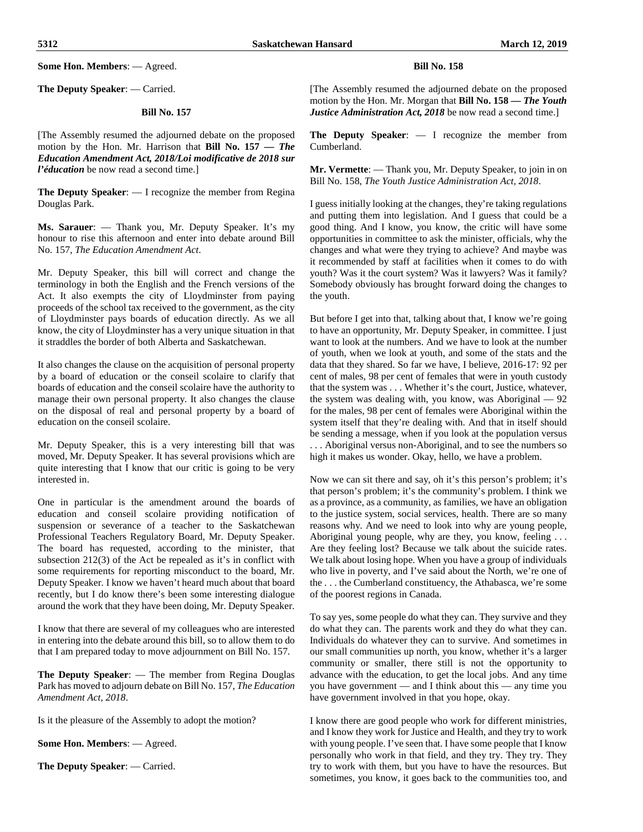**Some Hon. Members**: — Agreed.

**The Deputy Speaker**: — Carried.

#### **Bill No. 157**

[The Assembly resumed the adjourned debate on the proposed motion by the Hon. Mr. Harrison that **Bill No. 157 —** *The Education Amendment Act, 2018/Loi modificative de 2018 sur l'éducation* be now read a second time.]

**The Deputy Speaker**: — I recognize the member from Regina Douglas Park.

**Ms. Sarauer**: — Thank you, Mr. Deputy Speaker. It's my honour to rise this afternoon and enter into debate around Bill No. 157, *The Education Amendment Act*.

Mr. Deputy Speaker, this bill will correct and change the terminology in both the English and the French versions of the Act. It also exempts the city of Lloydminster from paying proceeds of the school tax received to the government, as the city of Lloydminster pays boards of education directly. As we all know, the city of Lloydminster has a very unique situation in that it straddles the border of both Alberta and Saskatchewan.

It also changes the clause on the acquisition of personal property by a board of education or the conseil scolaire to clarify that boards of education and the conseil scolaire have the authority to manage their own personal property. It also changes the clause on the disposal of real and personal property by a board of education on the conseil scolaire.

Mr. Deputy Speaker, this is a very interesting bill that was moved, Mr. Deputy Speaker. It has several provisions which are quite interesting that I know that our critic is going to be very interested in.

One in particular is the amendment around the boards of education and conseil scolaire providing notification of suspension or severance of a teacher to the Saskatchewan Professional Teachers Regulatory Board, Mr. Deputy Speaker. The board has requested, according to the minister, that subsection 212(3) of the Act be repealed as it's in conflict with some requirements for reporting misconduct to the board, Mr. Deputy Speaker. I know we haven't heard much about that board recently, but I do know there's been some interesting dialogue around the work that they have been doing, Mr. Deputy Speaker.

I know that there are several of my colleagues who are interested in entering into the debate around this bill, so to allow them to do that I am prepared today to move adjournment on Bill No. 157.

**The Deputy Speaker**: — The member from Regina Douglas Park has moved to adjourn debate on Bill No. 157, *The Education Amendment Act, 2018*.

Is it the pleasure of the Assembly to adopt the motion?

**Some Hon. Members**: — Agreed.

**The Deputy Speaker**: — Carried.

#### **Bill No. 158**

[The Assembly resumed the adjourned debate on the proposed motion by the Hon. Mr. Morgan that **Bill No. 158 —** *The Youth Justice Administration Act, 2018* be now read a second time.]

**The Deputy Speaker**: — I recognize the member from Cumberland.

**Mr. Vermette**: — Thank you, Mr. Deputy Speaker, to join in on Bill No. 158, *The Youth Justice Administration Act, 2018*.

I guess initially looking at the changes, they're taking regulations and putting them into legislation. And I guess that could be a good thing. And I know, you know, the critic will have some opportunities in committee to ask the minister, officials, why the changes and what were they trying to achieve? And maybe was it recommended by staff at facilities when it comes to do with youth? Was it the court system? Was it lawyers? Was it family? Somebody obviously has brought forward doing the changes to the youth.

But before I get into that, talking about that, I know we're going to have an opportunity, Mr. Deputy Speaker, in committee. I just want to look at the numbers. And we have to look at the number of youth, when we look at youth, and some of the stats and the data that they shared. So far we have, I believe, 2016-17: 92 per cent of males, 98 per cent of females that were in youth custody that the system was . . . Whether it's the court, Justice, whatever, the system was dealing with, you know, was Aboriginal — 92 for the males, 98 per cent of females were Aboriginal within the system itself that they're dealing with. And that in itself should be sending a message, when if you look at the population versus . . . Aboriginal versus non-Aboriginal, and to see the numbers so high it makes us wonder. Okay, hello, we have a problem.

Now we can sit there and say, oh it's this person's problem; it's that person's problem; it's the community's problem. I think we as a province, as a community, as families, we have an obligation to the justice system, social services, health. There are so many reasons why. And we need to look into why are young people, Aboriginal young people, why are they, you know, feeling . . . Are they feeling lost? Because we talk about the suicide rates. We talk about losing hope. When you have a group of individuals who live in poverty, and I've said about the North, we're one of the . . . the Cumberland constituency, the Athabasca, we're some of the poorest regions in Canada.

To say yes, some people do what they can. They survive and they do what they can. The parents work and they do what they can. Individuals do whatever they can to survive. And sometimes in our small communities up north, you know, whether it's a larger community or smaller, there still is not the opportunity to advance with the education, to get the local jobs. And any time you have government — and I think about this — any time you have government involved in that you hope, okay.

I know there are good people who work for different ministries, and I know they work for Justice and Health, and they try to work with young people. I've seen that. I have some people that I know personally who work in that field, and they try. They try. They try to work with them, but you have to have the resources. But sometimes, you know, it goes back to the communities too, and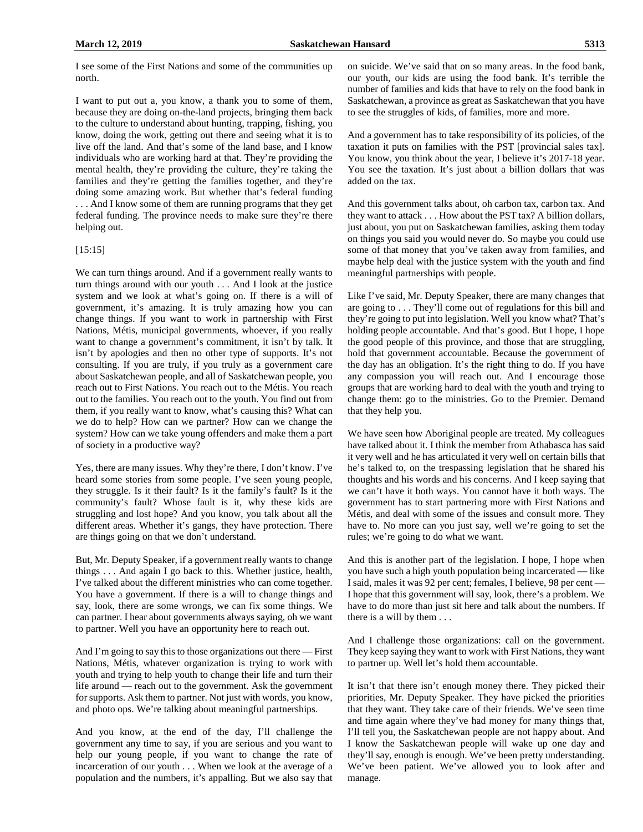I see some of the First Nations and some of the communities up north.

I want to put out a, you know, a thank you to some of them, because they are doing on-the-land projects, bringing them back to the culture to understand about hunting, trapping, fishing, you know, doing the work, getting out there and seeing what it is to live off the land. And that's some of the land base, and I know individuals who are working hard at that. They're providing the mental health, they're providing the culture, they're taking the families and they're getting the families together, and they're doing some amazing work. But whether that's federal funding . . . And I know some of them are running programs that they get federal funding. The province needs to make sure they're there helping out.

#### [15:15]

We can turn things around. And if a government really wants to turn things around with our youth . . . And I look at the justice system and we look at what's going on. If there is a will of government, it's amazing. It is truly amazing how you can change things. If you want to work in partnership with First Nations, Métis, municipal governments, whoever, if you really want to change a government's commitment, it isn't by talk. It isn't by apologies and then no other type of supports. It's not consulting. If you are truly, if you truly as a government care about Saskatchewan people, and all of Saskatchewan people, you reach out to First Nations. You reach out to the Métis. You reach out to the families. You reach out to the youth. You find out from them, if you really want to know, what's causing this? What can we do to help? How can we partner? How can we change the system? How can we take young offenders and make them a part of society in a productive way?

Yes, there are many issues. Why they're there, I don't know. I've heard some stories from some people. I've seen young people, they struggle. Is it their fault? Is it the family's fault? Is it the community's fault? Whose fault is it, why these kids are struggling and lost hope? And you know, you talk about all the different areas. Whether it's gangs, they have protection. There are things going on that we don't understand.

But, Mr. Deputy Speaker, if a government really wants to change things . . . And again I go back to this. Whether justice, health, I've talked about the different ministries who can come together. You have a government. If there is a will to change things and say, look, there are some wrongs, we can fix some things. We can partner. I hear about governments always saying, oh we want to partner. Well you have an opportunity here to reach out.

And I'm going to say this to those organizations out there — First Nations, Métis, whatever organization is trying to work with youth and trying to help youth to change their life and turn their life around — reach out to the government. Ask the government for supports. Ask them to partner. Not just with words, you know, and photo ops. We're talking about meaningful partnerships.

And you know, at the end of the day, I'll challenge the government any time to say, if you are serious and you want to help our young people, if you want to change the rate of incarceration of our youth . . . When we look at the average of a population and the numbers, it's appalling. But we also say that on suicide. We've said that on so many areas. In the food bank, our youth, our kids are using the food bank. It's terrible the number of families and kids that have to rely on the food bank in Saskatchewan, a province as great as Saskatchewan that you have to see the struggles of kids, of families, more and more.

And a government has to take responsibility of its policies, of the taxation it puts on families with the PST [provincial sales tax]. You know, you think about the year, I believe it's 2017-18 year. You see the taxation. It's just about a billion dollars that was added on the tax.

And this government talks about, oh carbon tax, carbon tax. And they want to attack . . . How about the PST tax? A billion dollars, just about, you put on Saskatchewan families, asking them today on things you said you would never do. So maybe you could use some of that money that you've taken away from families, and maybe help deal with the justice system with the youth and find meaningful partnerships with people.

Like I've said, Mr. Deputy Speaker, there are many changes that are going to . . . They'll come out of regulations for this bill and they're going to put into legislation. Well you know what? That's holding people accountable. And that's good. But I hope, I hope the good people of this province, and those that are struggling, hold that government accountable. Because the government of the day has an obligation. It's the right thing to do. If you have any compassion you will reach out. And I encourage those groups that are working hard to deal with the youth and trying to change them: go to the ministries. Go to the Premier. Demand that they help you.

We have seen how Aboriginal people are treated. My colleagues have talked about it. I think the member from Athabasca has said it very well and he has articulated it very well on certain bills that he's talked to, on the trespassing legislation that he shared his thoughts and his words and his concerns. And I keep saying that we can't have it both ways. You cannot have it both ways. The government has to start partnering more with First Nations and Métis, and deal with some of the issues and consult more. They have to. No more can you just say, well we're going to set the rules; we're going to do what we want.

And this is another part of the legislation. I hope, I hope when you have such a high youth population being incarcerated — like I said, males it was 92 per cent; females, I believe, 98 per cent — I hope that this government will say, look, there's a problem. We have to do more than just sit here and talk about the numbers. If there is a will by them . . .

And I challenge those organizations: call on the government. They keep saying they want to work with First Nations, they want to partner up. Well let's hold them accountable.

It isn't that there isn't enough money there. They picked their priorities, Mr. Deputy Speaker. They have picked the priorities that they want. They take care of their friends. We've seen time and time again where they've had money for many things that, I'll tell you, the Saskatchewan people are not happy about. And I know the Saskatchewan people will wake up one day and they'll say, enough is enough. We've been pretty understanding. We've been patient. We've allowed you to look after and manage.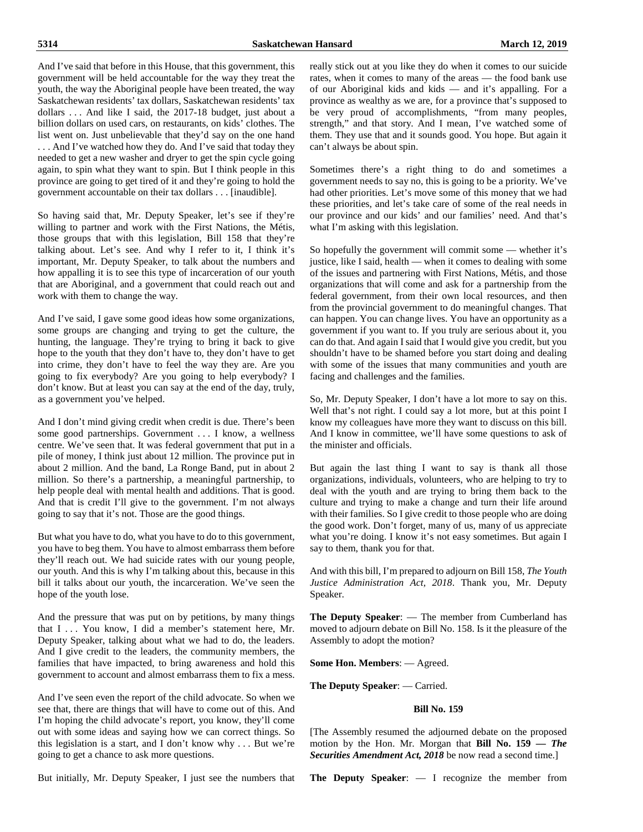And I've said that before in this House, that this government, this government will be held accountable for the way they treat the youth, the way the Aboriginal people have been treated, the way Saskatchewan residents' tax dollars, Saskatchewan residents' tax dollars ... And like I said, the 2017-18 budget, just about a billion dollars on used cars, on restaurants, on kids' clothes. The list went on. Just unbelievable that they'd say on the one hand . . . And I've watched how they do. And I've said that today they needed to get a new washer and dryer to get the spin cycle going again, to spin what they want to spin. But I think people in this province are going to get tired of it and they're going to hold the government accountable on their tax dollars . . . [inaudible].

So having said that, Mr. Deputy Speaker, let's see if they're willing to partner and work with the First Nations, the Métis, those groups that with this legislation, Bill 158 that they're talking about. Let's see. And why I refer to it, I think it's important, Mr. Deputy Speaker, to talk about the numbers and how appalling it is to see this type of incarceration of our youth that are Aboriginal, and a government that could reach out and work with them to change the way.

And I've said, I gave some good ideas how some organizations, some groups are changing and trying to get the culture, the hunting, the language. They're trying to bring it back to give hope to the youth that they don't have to, they don't have to get into crime, they don't have to feel the way they are. Are you going to fix everybody? Are you going to help everybody? I don't know. But at least you can say at the end of the day, truly, as a government you've helped.

And I don't mind giving credit when credit is due. There's been some good partnerships. Government . . . I know, a wellness centre. We've seen that. It was federal government that put in a pile of money, I think just about 12 million. The province put in about 2 million. And the band, La Ronge Band, put in about 2 million. So there's a partnership, a meaningful partnership, to help people deal with mental health and additions. That is good. And that is credit I'll give to the government. I'm not always going to say that it's not. Those are the good things.

But what you have to do, what you have to do to this government, you have to beg them. You have to almost embarrass them before they'll reach out. We had suicide rates with our young people, our youth. And this is why I'm talking about this, because in this bill it talks about our youth, the incarceration. We've seen the hope of the youth lose.

And the pressure that was put on by petitions, by many things that I ... You know, I did a member's statement here, Mr. Deputy Speaker, talking about what we had to do, the leaders. And I give credit to the leaders, the community members, the families that have impacted, to bring awareness and hold this government to account and almost embarrass them to fix a mess.

And I've seen even the report of the child advocate. So when we see that, there are things that will have to come out of this. And I'm hoping the child advocate's report, you know, they'll come out with some ideas and saying how we can correct things. So this legislation is a start, and I don't know why . . . But we're going to get a chance to ask more questions.

really stick out at you like they do when it comes to our suicide rates, when it comes to many of the areas — the food bank use of our Aboriginal kids and kids — and it's appalling. For a province as wealthy as we are, for a province that's supposed to be very proud of accomplishments, "from many peoples, strength," and that story. And I mean, I've watched some of them. They use that and it sounds good. You hope. But again it can't always be about spin.

Sometimes there's a right thing to do and sometimes a government needs to say no, this is going to be a priority. We've had other priorities. Let's move some of this money that we had these priorities, and let's take care of some of the real needs in our province and our kids' and our families' need. And that's what I'm asking with this legislation.

So hopefully the government will commit some — whether it's justice, like I said, health — when it comes to dealing with some of the issues and partnering with First Nations, Métis, and those organizations that will come and ask for a partnership from the federal government, from their own local resources, and then from the provincial government to do meaningful changes. That can happen. You can change lives. You have an opportunity as a government if you want to. If you truly are serious about it, you can do that. And again I said that I would give you credit, but you shouldn't have to be shamed before you start doing and dealing with some of the issues that many communities and youth are facing and challenges and the families.

So, Mr. Deputy Speaker, I don't have a lot more to say on this. Well that's not right. I could say a lot more, but at this point I know my colleagues have more they want to discuss on this bill. And I know in committee, we'll have some questions to ask of the minister and officials.

But again the last thing I want to say is thank all those organizations, individuals, volunteers, who are helping to try to deal with the youth and are trying to bring them back to the culture and trying to make a change and turn their life around with their families. So I give credit to those people who are doing the good work. Don't forget, many of us, many of us appreciate what you're doing. I know it's not easy sometimes. But again I say to them, thank you for that.

And with this bill, I'm prepared to adjourn on Bill 158, *The Youth Justice Administration Act, 2018*. Thank you, Mr. Deputy Speaker.

**The Deputy Speaker**: — The member from Cumberland has moved to adjourn debate on Bill No. 158. Is it the pleasure of the Assembly to adopt the motion?

**Some Hon. Members**: — Agreed.

**The Deputy Speaker**: — Carried.

#### **Bill No. 159**

[The Assembly resumed the adjourned debate on the proposed motion by the Hon. Mr. Morgan that **Bill No. 159 —** *The Securities Amendment Act, 2018* be now read a second time.]

But initially, Mr. Deputy Speaker, I just see the numbers that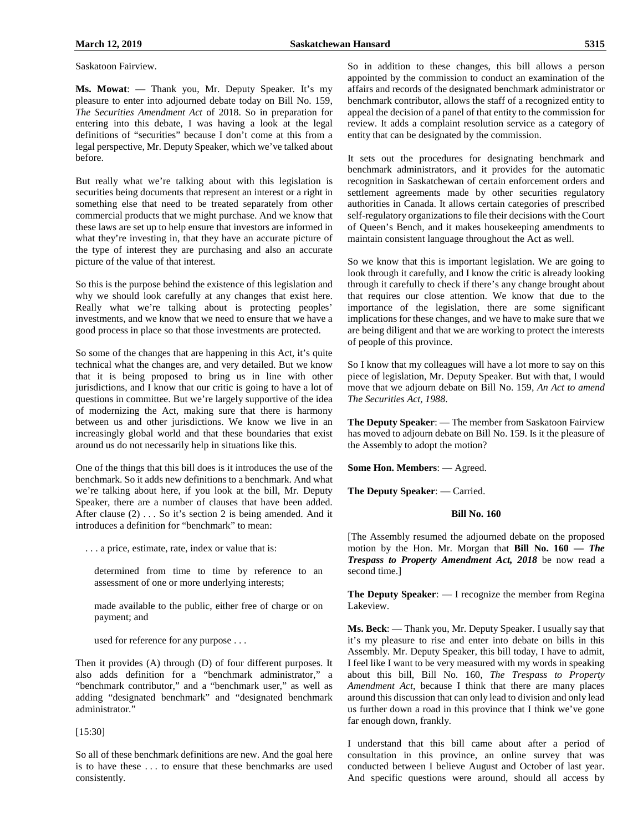Saskatoon Fairview.

**Ms. Mowat**: — Thank you, Mr. Deputy Speaker. It's my pleasure to enter into adjourned debate today on Bill No. 159, *The Securities Amendment Act* of 2018. So in preparation for entering into this debate, I was having a look at the legal definitions of "securities" because I don't come at this from a legal perspective, Mr. Deputy Speaker, which we've talked about before.

But really what we're talking about with this legislation is securities being documents that represent an interest or a right in something else that need to be treated separately from other commercial products that we might purchase. And we know that these laws are set up to help ensure that investors are informed in what they're investing in, that they have an accurate picture of the type of interest they are purchasing and also an accurate picture of the value of that interest.

So this is the purpose behind the existence of this legislation and why we should look carefully at any changes that exist here. Really what we're talking about is protecting peoples' investments, and we know that we need to ensure that we have a good process in place so that those investments are protected.

So some of the changes that are happening in this Act, it's quite technical what the changes are, and very detailed. But we know that it is being proposed to bring us in line with other jurisdictions, and I know that our critic is going to have a lot of questions in committee. But we're largely supportive of the idea of modernizing the Act, making sure that there is harmony between us and other jurisdictions. We know we live in an increasingly global world and that these boundaries that exist around us do not necessarily help in situations like this.

One of the things that this bill does is it introduces the use of the benchmark. So it adds new definitions to a benchmark. And what we're talking about here, if you look at the bill, Mr. Deputy Speaker, there are a number of clauses that have been added. After clause (2) . . . So it's section 2 is being amended. And it introduces a definition for "benchmark" to mean:

. . . a price, estimate, rate, index or value that is:

determined from time to time by reference to an assessment of one or more underlying interests;

made available to the public, either free of charge or on payment; and

used for reference for any purpose . . .

Then it provides (A) through (D) of four different purposes. It also adds definition for a "benchmark administrator," a "benchmark contributor," and a "benchmark user," as well as adding "designated benchmark" and "designated benchmark administrator."

#### [15:30]

So all of these benchmark definitions are new. And the goal here is to have these . . . to ensure that these benchmarks are used consistently.

So in addition to these changes, this bill allows a person appointed by the commission to conduct an examination of the affairs and records of the designated benchmark administrator or benchmark contributor, allows the staff of a recognized entity to appeal the decision of a panel of that entity to the commission for review. It adds a complaint resolution service as a category of entity that can be designated by the commission.

It sets out the procedures for designating benchmark and benchmark administrators, and it provides for the automatic recognition in Saskatchewan of certain enforcement orders and settlement agreements made by other securities regulatory authorities in Canada. It allows certain categories of prescribed self-regulatory organizations to file their decisions with the Court of Queen's Bench, and it makes housekeeping amendments to maintain consistent language throughout the Act as well.

So we know that this is important legislation. We are going to look through it carefully, and I know the critic is already looking through it carefully to check if there's any change brought about that requires our close attention. We know that due to the importance of the legislation, there are some significant implications for these changes, and we have to make sure that we are being diligent and that we are working to protect the interests of people of this province.

So I know that my colleagues will have a lot more to say on this piece of legislation, Mr. Deputy Speaker. But with that, I would move that we adjourn debate on Bill No. 159, *An Act to amend The Securities Act, 1988*.

**The Deputy Speaker**: — The member from Saskatoon Fairview has moved to adjourn debate on Bill No. 159. Is it the pleasure of the Assembly to adopt the motion?

**Some Hon. Members**: — Agreed.

**The Deputy Speaker**: — Carried.

# **Bill No. 160**

[The Assembly resumed the adjourned debate on the proposed motion by the Hon. Mr. Morgan that **Bill No. 160 —** *The Trespass to Property Amendment Act, 2018* be now read a second time.]

**The Deputy Speaker**: — I recognize the member from Regina Lakeview.

**Ms. Beck**: — Thank you, Mr. Deputy Speaker. I usually say that it's my pleasure to rise and enter into debate on bills in this Assembly. Mr. Deputy Speaker, this bill today, I have to admit, I feel like I want to be very measured with my words in speaking about this bill, Bill No. 160, *The Trespass to Property Amendment Act*, because I think that there are many places around this discussion that can only lead to division and only lead us further down a road in this province that I think we've gone far enough down, frankly.

I understand that this bill came about after a period of consultation in this province, an online survey that was conducted between I believe August and October of last year. And specific questions were around, should all access by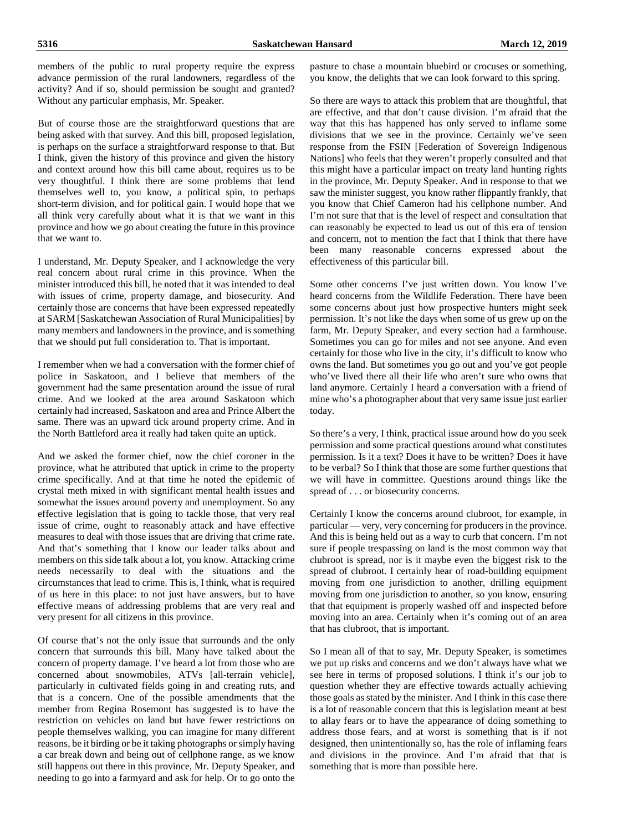members of the public to rural property require the express advance permission of the rural landowners, regardless of the activity? And if so, should permission be sought and granted? Without any particular emphasis, Mr. Speaker.

But of course those are the straightforward questions that are being asked with that survey. And this bill, proposed legislation, is perhaps on the surface a straightforward response to that. But I think, given the history of this province and given the history and context around how this bill came about, requires us to be very thoughtful. I think there are some problems that lend themselves well to, you know, a political spin, to perhaps short-term division, and for political gain. I would hope that we all think very carefully about what it is that we want in this province and how we go about creating the future in this province that we want to.

I understand, Mr. Deputy Speaker, and I acknowledge the very real concern about rural crime in this province. When the minister introduced this bill, he noted that it was intended to deal with issues of crime, property damage, and biosecurity. And certainly those are concerns that have been expressed repeatedly at SARM [Saskatchewan Association of Rural Municipalities] by many members and landowners in the province, and is something that we should put full consideration to. That is important.

I remember when we had a conversation with the former chief of police in Saskatoon, and I believe that members of the government had the same presentation around the issue of rural crime. And we looked at the area around Saskatoon which certainly had increased, Saskatoon and area and Prince Albert the same. There was an upward tick around property crime. And in the North Battleford area it really had taken quite an uptick.

And we asked the former chief, now the chief coroner in the province, what he attributed that uptick in crime to the property crime specifically. And at that time he noted the epidemic of crystal meth mixed in with significant mental health issues and somewhat the issues around poverty and unemployment. So any effective legislation that is going to tackle those, that very real issue of crime, ought to reasonably attack and have effective measures to deal with those issues that are driving that crime rate. And that's something that I know our leader talks about and members on this side talk about a lot, you know. Attacking crime needs necessarily to deal with the situations and the circumstances that lead to crime. This is, I think, what is required of us here in this place: to not just have answers, but to have effective means of addressing problems that are very real and very present for all citizens in this province.

Of course that's not the only issue that surrounds and the only concern that surrounds this bill. Many have talked about the concern of property damage. I've heard a lot from those who are concerned about snowmobiles, ATVs [all-terrain vehicle], particularly in cultivated fields going in and creating ruts, and that is a concern. One of the possible amendments that the member from Regina Rosemont has suggested is to have the restriction on vehicles on land but have fewer restrictions on people themselves walking, you can imagine for many different reasons, be it birding or be it taking photographs or simply having a car break down and being out of cellphone range, as we know still happens out there in this province, Mr. Deputy Speaker, and needing to go into a farmyard and ask for help. Or to go onto the

pasture to chase a mountain bluebird or crocuses or something, you know, the delights that we can look forward to this spring.

So there are ways to attack this problem that are thoughtful, that are effective, and that don't cause division. I'm afraid that the way that this has happened has only served to inflame some divisions that we see in the province. Certainly we've seen response from the FSIN [Federation of Sovereign Indigenous Nations] who feels that they weren't properly consulted and that this might have a particular impact on treaty land hunting rights in the province, Mr. Deputy Speaker. And in response to that we saw the minister suggest, you know rather flippantly frankly, that you know that Chief Cameron had his cellphone number. And I'm not sure that that is the level of respect and consultation that can reasonably be expected to lead us out of this era of tension and concern, not to mention the fact that I think that there have been many reasonable concerns expressed about the effectiveness of this particular bill.

Some other concerns I've just written down. You know I've heard concerns from the Wildlife Federation. There have been some concerns about just how prospective hunters might seek permission. It's not like the days when some of us grew up on the farm, Mr. Deputy Speaker, and every section had a farmhouse. Sometimes you can go for miles and not see anyone. And even certainly for those who live in the city, it's difficult to know who owns the land. But sometimes you go out and you've got people who've lived there all their life who aren't sure who owns that land anymore. Certainly I heard a conversation with a friend of mine who's a photographer about that very same issue just earlier today.

So there's a very, I think, practical issue around how do you seek permission and some practical questions around what constitutes permission. Is it a text? Does it have to be written? Does it have to be verbal? So I think that those are some further questions that we will have in committee. Questions around things like the spread of . . . or biosecurity concerns.

Certainly I know the concerns around clubroot, for example, in particular — very, very concerning for producers in the province. And this is being held out as a way to curb that concern. I'm not sure if people trespassing on land is the most common way that clubroot is spread, nor is it maybe even the biggest risk to the spread of clubroot. I certainly hear of road-building equipment moving from one jurisdiction to another, drilling equipment moving from one jurisdiction to another, so you know, ensuring that that equipment is properly washed off and inspected before moving into an area. Certainly when it's coming out of an area that has clubroot, that is important.

So I mean all of that to say, Mr. Deputy Speaker, is sometimes we put up risks and concerns and we don't always have what we see here in terms of proposed solutions. I think it's our job to question whether they are effective towards actually achieving those goals as stated by the minister. And I think in this case there is a lot of reasonable concern that this is legislation meant at best to allay fears or to have the appearance of doing something to address those fears, and at worst is something that is if not designed, then unintentionally so, has the role of inflaming fears and divisions in the province. And I'm afraid that that is something that is more than possible here.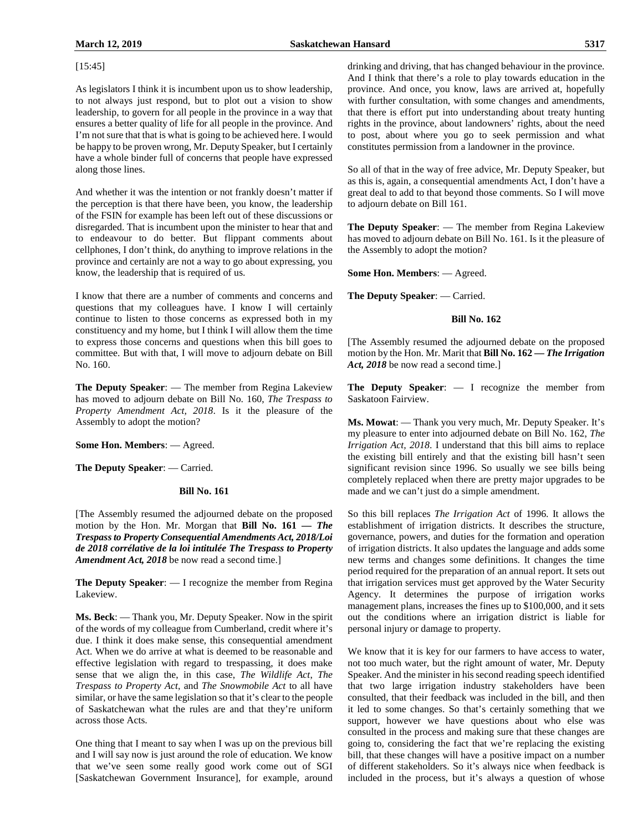As legislators I think it is incumbent upon us to show leadership, to not always just respond, but to plot out a vision to show leadership, to govern for all people in the province in a way that ensures a better quality of life for all people in the province. And I'm not sure that that is what is going to be achieved here. I would be happy to be proven wrong, Mr. Deputy Speaker, but I certainly have a whole binder full of concerns that people have expressed along those lines.

And whether it was the intention or not frankly doesn't matter if the perception is that there have been, you know, the leadership of the FSIN for example has been left out of these discussions or disregarded. That is incumbent upon the minister to hear that and to endeavour to do better. But flippant comments about cellphones, I don't think, do anything to improve relations in the province and certainly are not a way to go about expressing, you know, the leadership that is required of us.

I know that there are a number of comments and concerns and questions that my colleagues have. I know I will certainly continue to listen to those concerns as expressed both in my constituency and my home, but I think I will allow them the time to express those concerns and questions when this bill goes to committee. But with that, I will move to adjourn debate on Bill No. 160.

**The Deputy Speaker**: — The member from Regina Lakeview has moved to adjourn debate on Bill No. 160, *The Trespass to Property Amendment Act, 2018*. Is it the pleasure of the Assembly to adopt the motion?

**Some Hon. Members**: — Agreed.

**The Deputy Speaker**: — Carried.

# **Bill No. 161**

[The Assembly resumed the adjourned debate on the proposed motion by the Hon. Mr. Morgan that **Bill No. 161 —** *The Trespass to Property Consequential Amendments Act, 2018/Loi de 2018 corrélative de la loi intitulée The Trespass to Property Amendment Act, 2018* be now read a second time.]

**The Deputy Speaker**: — I recognize the member from Regina Lakeview.

**Ms. Beck**: — Thank you, Mr. Deputy Speaker. Now in the spirit of the words of my colleague from Cumberland, credit where it's due. I think it does make sense, this consequential amendment Act. When we do arrive at what is deemed to be reasonable and effective legislation with regard to trespassing, it does make sense that we align the, in this case, *The Wildlife Act*, *The Trespass to Property Act*, and *The Snowmobile Act* to all have similar, or have the same legislation so that it's clear to the people of Saskatchewan what the rules are and that they're uniform across those Acts.

One thing that I meant to say when I was up on the previous bill and I will say now is just around the role of education. We know that we've seen some really good work come out of SGI [Saskatchewan Government Insurance], for example, around So all of that in the way of free advice, Mr. Deputy Speaker, but as this is, again, a consequential amendments Act, I don't have a great deal to add to that beyond those comments. So I will move to adjourn debate on Bill 161.

**The Deputy Speaker**: — The member from Regina Lakeview has moved to adjourn debate on Bill No. 161. Is it the pleasure of the Assembly to adopt the motion?

**Some Hon. Members**: — Agreed.

**The Deputy Speaker**: — Carried.

#### **Bill No. 162**

[The Assembly resumed the adjourned debate on the proposed motion by the Hon. Mr. Marit that **Bill No. 162 —** *The Irrigation*  Act, 2018 be now read a second time.]

**The Deputy Speaker**: — I recognize the member from Saskatoon Fairview.

**Ms. Mowat**: — Thank you very much, Mr. Deputy Speaker. It's my pleasure to enter into adjourned debate on Bill No. 162, *The Irrigation Act, 2018*. I understand that this bill aims to replace the existing bill entirely and that the existing bill hasn't seen significant revision since 1996. So usually we see bills being completely replaced when there are pretty major upgrades to be made and we can't just do a simple amendment.

So this bill replaces *The Irrigation Act* of 1996. It allows the establishment of irrigation districts. It describes the structure, governance, powers, and duties for the formation and operation of irrigation districts. It also updates the language and adds some new terms and changes some definitions. It changes the time period required for the preparation of an annual report. It sets out that irrigation services must get approved by the Water Security Agency. It determines the purpose of irrigation works management plans, increases the fines up to \$100,000, and it sets out the conditions where an irrigation district is liable for personal injury or damage to property.

We know that it is key for our farmers to have access to water, not too much water, but the right amount of water, Mr. Deputy Speaker. And the minister in his second reading speech identified that two large irrigation industry stakeholders have been consulted, that their feedback was included in the bill, and then it led to some changes. So that's certainly something that we support, however we have questions about who else was consulted in the process and making sure that these changes are going to, considering the fact that we're replacing the existing bill, that these changes will have a positive impact on a number of different stakeholders. So it's always nice when feedback is included in the process, but it's always a question of whose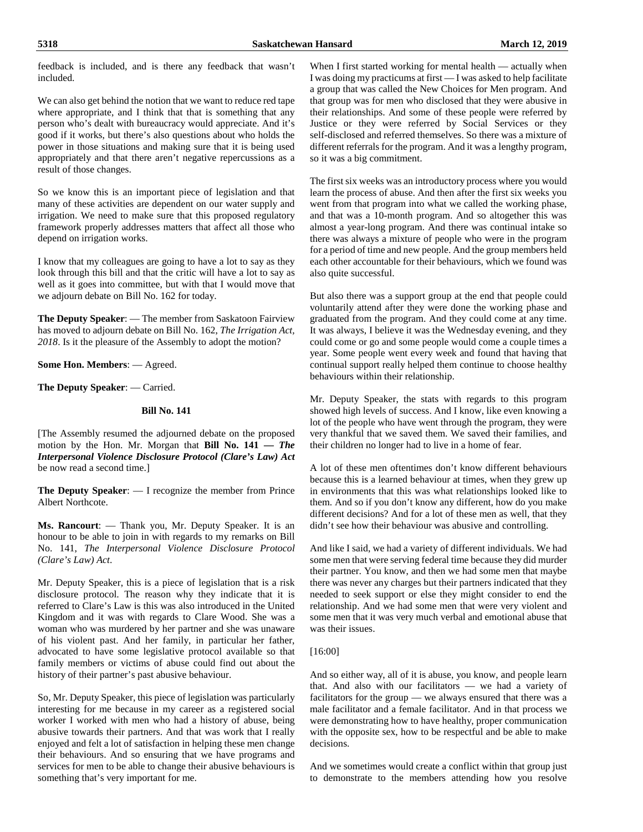feedback is included, and is there any feedback that wasn't included.

We can also get behind the notion that we want to reduce red tape where appropriate, and I think that that is something that any person who's dealt with bureaucracy would appreciate. And it's good if it works, but there's also questions about who holds the power in those situations and making sure that it is being used appropriately and that there aren't negative repercussions as a result of those changes.

So we know this is an important piece of legislation and that many of these activities are dependent on our water supply and irrigation. We need to make sure that this proposed regulatory framework properly addresses matters that affect all those who depend on irrigation works.

I know that my colleagues are going to have a lot to say as they look through this bill and that the critic will have a lot to say as well as it goes into committee, but with that I would move that we adjourn debate on Bill No. 162 for today.

**The Deputy Speaker**: — The member from Saskatoon Fairview has moved to adjourn debate on Bill No. 162, *The Irrigation Act, 2018*. Is it the pleasure of the Assembly to adopt the motion?

**Some Hon. Members**: — Agreed.

**The Deputy Speaker**: — Carried.

# **Bill No. 141**

[The Assembly resumed the adjourned debate on the proposed motion by the Hon. Mr. Morgan that **Bill No. 141 —** *The Interpersonal Violence Disclosure Protocol (Clare's Law) Act* be now read a second time.]

**The Deputy Speaker**: — I recognize the member from Prince Albert Northcote.

**Ms. Rancourt**: — Thank you, Mr. Deputy Speaker. It is an honour to be able to join in with regards to my remarks on Bill No. 141, *The Interpersonal Violence Disclosure Protocol (Clare's Law) Act*.

Mr. Deputy Speaker, this is a piece of legislation that is a risk disclosure protocol. The reason why they indicate that it is referred to Clare's Law is this was also introduced in the United Kingdom and it was with regards to Clare Wood. She was a woman who was murdered by her partner and she was unaware of his violent past. And her family, in particular her father, advocated to have some legislative protocol available so that family members or victims of abuse could find out about the history of their partner's past abusive behaviour.

So, Mr. Deputy Speaker, this piece of legislation was particularly interesting for me because in my career as a registered social worker I worked with men who had a history of abuse, being abusive towards their partners. And that was work that I really enjoyed and felt a lot of satisfaction in helping these men change their behaviours. And so ensuring that we have programs and services for men to be able to change their abusive behaviours is something that's very important for me.

When I first started working for mental health — actually when I was doing my practicums at first — I was asked to help facilitate a group that was called the New Choices for Men program. And that group was for men who disclosed that they were abusive in their relationships. And some of these people were referred by Justice or they were referred by Social Services or they self-disclosed and referred themselves. So there was a mixture of different referrals for the program. And it was a lengthy program, so it was a big commitment.

The first six weeks was an introductory process where you would learn the process of abuse. And then after the first six weeks you went from that program into what we called the working phase, and that was a 10-month program. And so altogether this was almost a year-long program. And there was continual intake so there was always a mixture of people who were in the program for a period of time and new people. And the group members held each other accountable for their behaviours, which we found was also quite successful.

But also there was a support group at the end that people could voluntarily attend after they were done the working phase and graduated from the program. And they could come at any time. It was always, I believe it was the Wednesday evening, and they could come or go and some people would come a couple times a year. Some people went every week and found that having that continual support really helped them continue to choose healthy behaviours within their relationship.

Mr. Deputy Speaker, the stats with regards to this program showed high levels of success. And I know, like even knowing a lot of the people who have went through the program, they were very thankful that we saved them. We saved their families, and their children no longer had to live in a home of fear.

A lot of these men oftentimes don't know different behaviours because this is a learned behaviour at times, when they grew up in environments that this was what relationships looked like to them. And so if you don't know any different, how do you make different decisions? And for a lot of these men as well, that they didn't see how their behaviour was abusive and controlling.

And like I said, we had a variety of different individuals. We had some men that were serving federal time because they did murder their partner. You know, and then we had some men that maybe there was never any charges but their partners indicated that they needed to seek support or else they might consider to end the relationship. And we had some men that were very violent and some men that it was very much verbal and emotional abuse that was their issues.

#### [16:00]

And so either way, all of it is abuse, you know, and people learn that. And also with our facilitators — we had a variety of facilitators for the group — we always ensured that there was a male facilitator and a female facilitator. And in that process we were demonstrating how to have healthy, proper communication with the opposite sex, how to be respectful and be able to make decisions.

And we sometimes would create a conflict within that group just to demonstrate to the members attending how you resolve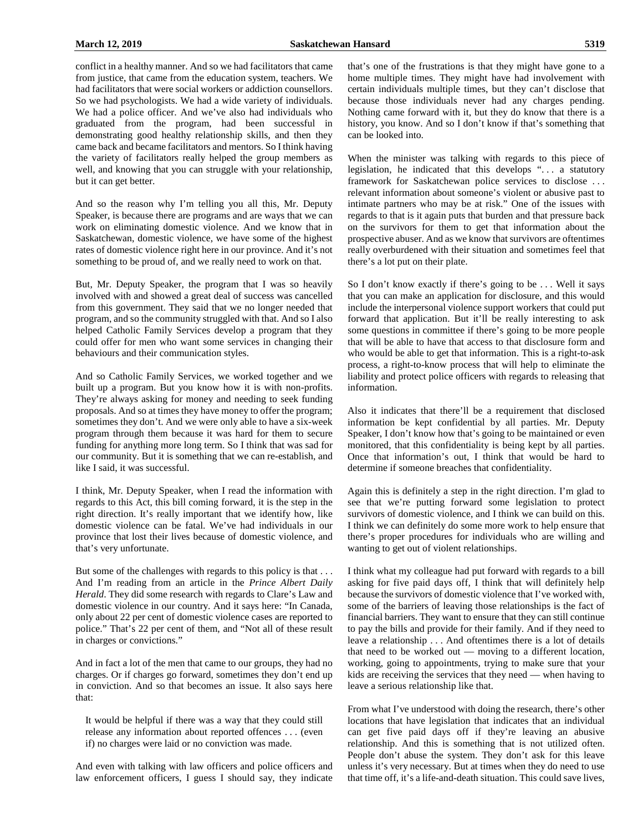conflict in a healthy manner. And so we had facilitators that came from justice, that came from the education system, teachers. We had facilitators that were social workers or addiction counsellors. So we had psychologists. We had a wide variety of individuals. We had a police officer. And we've also had individuals who graduated from the program, had been successful in demonstrating good healthy relationship skills, and then they came back and became facilitators and mentors. So I think having the variety of facilitators really helped the group members as well, and knowing that you can struggle with your relationship, but it can get better.

And so the reason why I'm telling you all this, Mr. Deputy Speaker, is because there are programs and are ways that we can work on eliminating domestic violence. And we know that in Saskatchewan, domestic violence, we have some of the highest rates of domestic violence right here in our province. And it's not something to be proud of, and we really need to work on that.

But, Mr. Deputy Speaker, the program that I was so heavily involved with and showed a great deal of success was cancelled from this government. They said that we no longer needed that program, and so the community struggled with that. And so I also helped Catholic Family Services develop a program that they could offer for men who want some services in changing their behaviours and their communication styles.

And so Catholic Family Services, we worked together and we built up a program. But you know how it is with non-profits. They're always asking for money and needing to seek funding proposals. And so at times they have money to offer the program; sometimes they don't. And we were only able to have a six-week program through them because it was hard for them to secure funding for anything more long term. So I think that was sad for our community. But it is something that we can re-establish, and like I said, it was successful.

I think, Mr. Deputy Speaker, when I read the information with regards to this Act, this bill coming forward, it is the step in the right direction. It's really important that we identify how, like domestic violence can be fatal. We've had individuals in our province that lost their lives because of domestic violence, and that's very unfortunate.

But some of the challenges with regards to this policy is that ... And I'm reading from an article in the *Prince Albert Daily Herald*. They did some research with regards to Clare's Law and domestic violence in our country. And it says here: "In Canada, only about 22 per cent of domestic violence cases are reported to police." That's 22 per cent of them, and "Not all of these result in charges or convictions."

And in fact a lot of the men that came to our groups, they had no charges. Or if charges go forward, sometimes they don't end up in conviction. And so that becomes an issue. It also says here that:

It would be helpful if there was a way that they could still release any information about reported offences . . . (even if) no charges were laid or no conviction was made.

And even with talking with law officers and police officers and law enforcement officers, I guess I should say, they indicate that's one of the frustrations is that they might have gone to a home multiple times. They might have had involvement with certain individuals multiple times, but they can't disclose that because those individuals never had any charges pending. Nothing came forward with it, but they do know that there is a history, you know. And so I don't know if that's something that can be looked into.

When the minister was talking with regards to this piece of legislation, he indicated that this develops ". . . a statutory framework for Saskatchewan police services to disclose . . . relevant information about someone's violent or abusive past to intimate partners who may be at risk." One of the issues with regards to that is it again puts that burden and that pressure back on the survivors for them to get that information about the prospective abuser. And as we know that survivors are oftentimes really overburdened with their situation and sometimes feel that there's a lot put on their plate.

So I don't know exactly if there's going to be ... Well it says that you can make an application for disclosure, and this would include the interpersonal violence support workers that could put forward that application. But it'll be really interesting to ask some questions in committee if there's going to be more people that will be able to have that access to that disclosure form and who would be able to get that information. This is a right-to-ask process, a right-to-know process that will help to eliminate the liability and protect police officers with regards to releasing that information.

Also it indicates that there'll be a requirement that disclosed information be kept confidential by all parties. Mr. Deputy Speaker, I don't know how that's going to be maintained or even monitored, that this confidentiality is being kept by all parties. Once that information's out, I think that would be hard to determine if someone breaches that confidentiality.

Again this is definitely a step in the right direction. I'm glad to see that we're putting forward some legislation to protect survivors of domestic violence, and I think we can build on this. I think we can definitely do some more work to help ensure that there's proper procedures for individuals who are willing and wanting to get out of violent relationships.

I think what my colleague had put forward with regards to a bill asking for five paid days off, I think that will definitely help because the survivors of domestic violence that I've worked with, some of the barriers of leaving those relationships is the fact of financial barriers. They want to ensure that they can still continue to pay the bills and provide for their family. And if they need to leave a relationship . . . And oftentimes there is a lot of details that need to be worked out — moving to a different location, working, going to appointments, trying to make sure that your kids are receiving the services that they need — when having to leave a serious relationship like that.

From what I've understood with doing the research, there's other locations that have legislation that indicates that an individual can get five paid days off if they're leaving an abusive relationship. And this is something that is not utilized often. People don't abuse the system. They don't ask for this leave unless it's very necessary. But at times when they do need to use that time off, it's a life-and-death situation. This could save lives,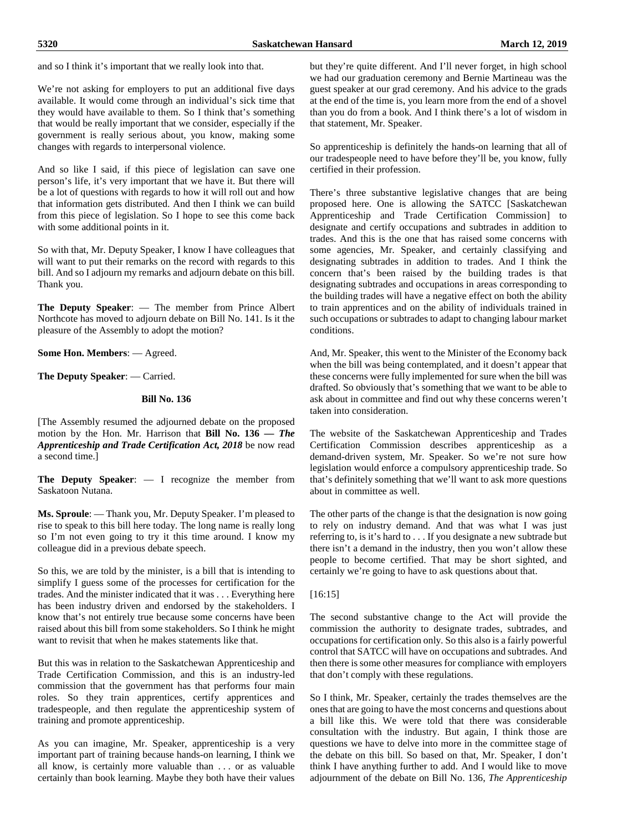and so I think it's important that we really look into that.

We're not asking for employers to put an additional five days available. It would come through an individual's sick time that they would have available to them. So I think that's something that would be really important that we consider, especially if the government is really serious about, you know, making some changes with regards to interpersonal violence.

And so like I said, if this piece of legislation can save one person's life, it's very important that we have it. But there will be a lot of questions with regards to how it will roll out and how that information gets distributed. And then I think we can build from this piece of legislation. So I hope to see this come back with some additional points in it.

So with that, Mr. Deputy Speaker, I know I have colleagues that will want to put their remarks on the record with regards to this bill. And so I adjourn my remarks and adjourn debate on this bill. Thank you.

**The Deputy Speaker**: — The member from Prince Albert Northcote has moved to adjourn debate on Bill No. 141. Is it the pleasure of the Assembly to adopt the motion?

**Some Hon. Members**: — Agreed.

**The Deputy Speaker**: — Carried.

#### **Bill No. 136**

[The Assembly resumed the adjourned debate on the proposed motion by the Hon. Mr. Harrison that **Bill No. 136 —** *The Apprenticeship and Trade Certification Act, 2018* be now read a second time.]

**The Deputy Speaker**: — I recognize the member from Saskatoon Nutana.

**Ms. Sproule**: — Thank you, Mr. Deputy Speaker. I'm pleased to rise to speak to this bill here today. The long name is really long so I'm not even going to try it this time around. I know my colleague did in a previous debate speech.

So this, we are told by the minister, is a bill that is intending to simplify I guess some of the processes for certification for the trades. And the minister indicated that it was . . . Everything here has been industry driven and endorsed by the stakeholders. I know that's not entirely true because some concerns have been raised about this bill from some stakeholders. So I think he might want to revisit that when he makes statements like that.

But this was in relation to the Saskatchewan Apprenticeship and Trade Certification Commission, and this is an industry-led commission that the government has that performs four main roles. So they train apprentices, certify apprentices and tradespeople, and then regulate the apprenticeship system of training and promote apprenticeship.

As you can imagine, Mr. Speaker, apprenticeship is a very important part of training because hands-on learning, I think we all know, is certainly more valuable than . . . or as valuable certainly than book learning. Maybe they both have their values but they're quite different. And I'll never forget, in high school we had our graduation ceremony and Bernie Martineau was the guest speaker at our grad ceremony. And his advice to the grads at the end of the time is, you learn more from the end of a shovel than you do from a book. And I think there's a lot of wisdom in that statement, Mr. Speaker.

So apprenticeship is definitely the hands-on learning that all of our tradespeople need to have before they'll be, you know, fully certified in their profession.

There's three substantive legislative changes that are being proposed here. One is allowing the SATCC [Saskatchewan Apprenticeship and Trade Certification Commission] to designate and certify occupations and subtrades in addition to trades. And this is the one that has raised some concerns with some agencies, Mr. Speaker, and certainly classifying and designating subtrades in addition to trades. And I think the concern that's been raised by the building trades is that designating subtrades and occupations in areas corresponding to the building trades will have a negative effect on both the ability to train apprentices and on the ability of individuals trained in such occupations or subtrades to adapt to changing labour market conditions.

And, Mr. Speaker, this went to the Minister of the Economy back when the bill was being contemplated, and it doesn't appear that these concerns were fully implemented for sure when the bill was drafted. So obviously that's something that we want to be able to ask about in committee and find out why these concerns weren't taken into consideration.

The website of the Saskatchewan Apprenticeship and Trades Certification Commission describes apprenticeship as a demand-driven system, Mr. Speaker. So we're not sure how legislation would enforce a compulsory apprenticeship trade. So that's definitely something that we'll want to ask more questions about in committee as well.

The other parts of the change is that the designation is now going to rely on industry demand. And that was what I was just referring to, is it's hard to . . . If you designate a new subtrade but there isn't a demand in the industry, then you won't allow these people to become certified. That may be short sighted, and certainly we're going to have to ask questions about that.

#### [16:15]

The second substantive change to the Act will provide the commission the authority to designate trades, subtrades, and occupations for certification only. So this also is a fairly powerful control that SATCC will have on occupations and subtrades. And then there is some other measures for compliance with employers that don't comply with these regulations.

So I think, Mr. Speaker, certainly the trades themselves are the ones that are going to have the most concerns and questions about a bill like this. We were told that there was considerable consultation with the industry. But again, I think those are questions we have to delve into more in the committee stage of the debate on this bill. So based on that, Mr. Speaker, I don't think I have anything further to add. And I would like to move adjournment of the debate on Bill No. 136, *The Apprenticeship*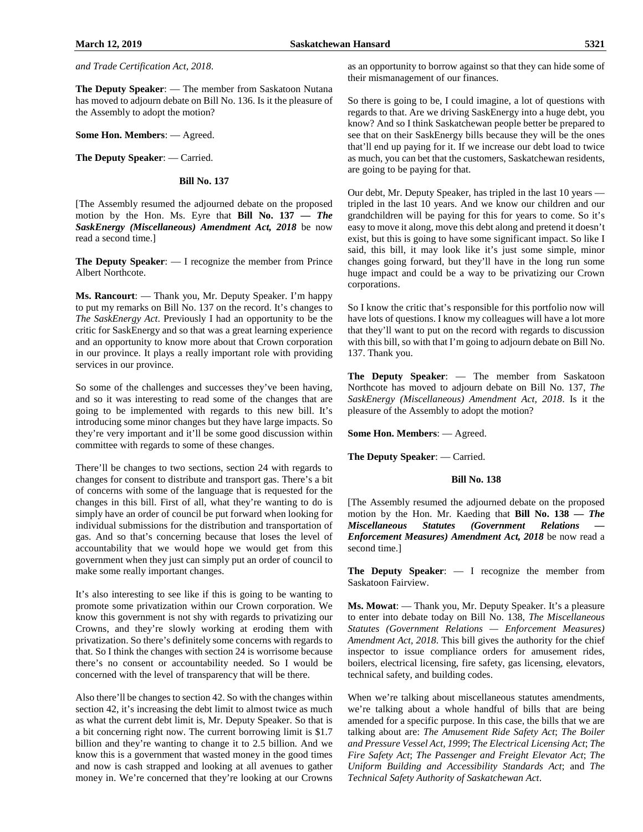*and Trade Certification Act, 2018*.

**The Deputy Speaker**: — The member from Saskatoon Nutana has moved to adjourn debate on Bill No. 136. Is it the pleasure of the Assembly to adopt the motion?

**Some Hon. Members**: — Agreed.

**The Deputy Speaker**: — Carried.

#### **Bill No. 137**

[The Assembly resumed the adjourned debate on the proposed motion by the Hon. Ms. Eyre that **Bill No. 137 —** *The SaskEnergy (Miscellaneous) Amendment Act, 2018* be now read a second time.]

**The Deputy Speaker**: — I recognize the member from Prince Albert Northcote.

**Ms. Rancourt**: — Thank you, Mr. Deputy Speaker. I'm happy to put my remarks on Bill No. 137 on the record. It's changes to *The SaskEnergy Act*. Previously I had an opportunity to be the critic for SaskEnergy and so that was a great learning experience and an opportunity to know more about that Crown corporation in our province. It plays a really important role with providing services in our province.

So some of the challenges and successes they've been having, and so it was interesting to read some of the changes that are going to be implemented with regards to this new bill. It's introducing some minor changes but they have large impacts. So they're very important and it'll be some good discussion within committee with regards to some of these changes.

There'll be changes to two sections, section 24 with regards to changes for consent to distribute and transport gas. There's a bit of concerns with some of the language that is requested for the changes in this bill. First of all, what they're wanting to do is simply have an order of council be put forward when looking for individual submissions for the distribution and transportation of gas. And so that's concerning because that loses the level of accountability that we would hope we would get from this government when they just can simply put an order of council to make some really important changes.

It's also interesting to see like if this is going to be wanting to promote some privatization within our Crown corporation. We know this government is not shy with regards to privatizing our Crowns, and they're slowly working at eroding them with privatization. So there's definitely some concerns with regards to that. So I think the changes with section 24 is worrisome because there's no consent or accountability needed. So I would be concerned with the level of transparency that will be there.

Also there'll be changes to section 42. So with the changes within section 42, it's increasing the debt limit to almost twice as much as what the current debt limit is, Mr. Deputy Speaker. So that is a bit concerning right now. The current borrowing limit is \$1.7 billion and they're wanting to change it to 2.5 billion. And we know this is a government that wasted money in the good times and now is cash strapped and looking at all avenues to gather money in. We're concerned that they're looking at our Crowns as an opportunity to borrow against so that they can hide some of their mismanagement of our finances.

So there is going to be, I could imagine, a lot of questions with regards to that. Are we driving SaskEnergy into a huge debt, you know? And so I think Saskatchewan people better be prepared to see that on their SaskEnergy bills because they will be the ones that'll end up paying for it. If we increase our debt load to twice as much, you can bet that the customers, Saskatchewan residents, are going to be paying for that.

Our debt, Mr. Deputy Speaker, has tripled in the last 10 years tripled in the last 10 years. And we know our children and our grandchildren will be paying for this for years to come. So it's easy to move it along, move this debt along and pretend it doesn't exist, but this is going to have some significant impact. So like I said, this bill, it may look like it's just some simple, minor changes going forward, but they'll have in the long run some huge impact and could be a way to be privatizing our Crown corporations.

So I know the critic that's responsible for this portfolio now will have lots of questions. I know my colleagues will have a lot more that they'll want to put on the record with regards to discussion with this bill, so with that I'm going to adjourn debate on Bill No. 137. Thank you.

**The Deputy Speaker**: — The member from Saskatoon Northcote has moved to adjourn debate on Bill No. 137*, The SaskEnergy (Miscellaneous) Amendment Act, 2018*. Is it the pleasure of the Assembly to adopt the motion?

**Some Hon. Members**: — Agreed.

**The Deputy Speaker**: — Carried.

#### **Bill No. 138**

[The Assembly resumed the adjourned debate on the proposed motion by the Hon. Mr. Kaeding that **Bill No. 138 —** *The Miscellaneous Statutes (Government Relations — Enforcement Measures) Amendment Act, 2018* be now read a second time.]

**The Deputy Speaker**: — I recognize the member from Saskatoon Fairview.

**Ms. Mowat**: — Thank you, Mr. Deputy Speaker. It's a pleasure to enter into debate today on Bill No. 138, *The Miscellaneous Statutes (Government Relations — Enforcement Measures) Amendment Act, 2018*. This bill gives the authority for the chief inspector to issue compliance orders for amusement rides, boilers, electrical licensing, fire safety, gas licensing, elevators, technical safety, and building codes.

When we're talking about miscellaneous statutes amendments, we're talking about a whole handful of bills that are being amended for a specific purpose. In this case, the bills that we are talking about are: *The Amusement Ride Safety Act*; *The Boiler and Pressure Vessel Act, 1999*; *The Electrical Licensing Act*; *The Fire Safety Act*; *The Passenger and Freight Elevator Act*; *The Uniform Building and Accessibility Standards Act*; and *The Technical Safety Authority of Saskatchewan Act*.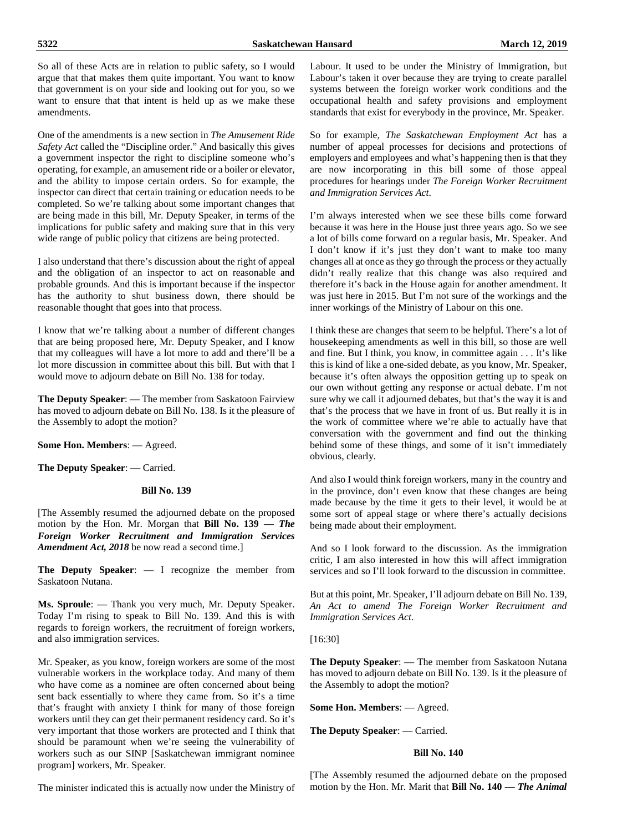So all of these Acts are in relation to public safety, so I would argue that that makes them quite important. You want to know that government is on your side and looking out for you, so we want to ensure that that intent is held up as we make these amendments.

One of the amendments is a new section in *The Amusement Ride Safety Act* called the "Discipline order." And basically this gives a government inspector the right to discipline someone who's operating, for example, an amusement ride or a boiler or elevator, and the ability to impose certain orders. So for example, the inspector can direct that certain training or education needs to be completed. So we're talking about some important changes that are being made in this bill, Mr. Deputy Speaker, in terms of the implications for public safety and making sure that in this very wide range of public policy that citizens are being protected.

I also understand that there's discussion about the right of appeal and the obligation of an inspector to act on reasonable and probable grounds. And this is important because if the inspector has the authority to shut business down, there should be reasonable thought that goes into that process.

I know that we're talking about a number of different changes that are being proposed here, Mr. Deputy Speaker, and I know that my colleagues will have a lot more to add and there'll be a lot more discussion in committee about this bill. But with that I would move to adjourn debate on Bill No. 138 for today.

**The Deputy Speaker**: — The member from Saskatoon Fairview has moved to adjourn debate on Bill No. 138. Is it the pleasure of the Assembly to adopt the motion?

#### **Some Hon. Members**: — Agreed.

**The Deputy Speaker**: — Carried.

#### **Bill No. 139**

[The Assembly resumed the adjourned debate on the proposed motion by the Hon. Mr. Morgan that **Bill No. 139 —** *The Foreign Worker Recruitment and Immigration Services Amendment Act, 2018* be now read a second time.]

**The Deputy Speaker**: — I recognize the member from Saskatoon Nutana.

**Ms. Sproule**: — Thank you very much, Mr. Deputy Speaker. Today I'm rising to speak to Bill No. 139. And this is with regards to foreign workers, the recruitment of foreign workers, and also immigration services.

Mr. Speaker, as you know, foreign workers are some of the most vulnerable workers in the workplace today. And many of them who have come as a nominee are often concerned about being sent back essentially to where they came from. So it's a time that's fraught with anxiety I think for many of those foreign workers until they can get their permanent residency card. So it's very important that those workers are protected and I think that should be paramount when we're seeing the vulnerability of workers such as our SINP [Saskatchewan immigrant nominee program] workers, Mr. Speaker.

Labour. It used to be under the Ministry of Immigration, but Labour's taken it over because they are trying to create parallel systems between the foreign worker work conditions and the occupational health and safety provisions and employment standards that exist for everybody in the province, Mr. Speaker.

So for example, *The Saskatchewan Employment Act* has a number of appeal processes for decisions and protections of employers and employees and what's happening then is that they are now incorporating in this bill some of those appeal procedures for hearings under *The Foreign Worker Recruitment and Immigration Services Act*.

I'm always interested when we see these bills come forward because it was here in the House just three years ago. So we see a lot of bills come forward on a regular basis, Mr. Speaker. And I don't know if it's just they don't want to make too many changes all at once as they go through the process or they actually didn't really realize that this change was also required and therefore it's back in the House again for another amendment. It was just here in 2015. But I'm not sure of the workings and the inner workings of the Ministry of Labour on this one.

I think these are changes that seem to be helpful. There's a lot of housekeeping amendments as well in this bill, so those are well and fine. But I think, you know, in committee again . . . It's like this is kind of like a one-sided debate, as you know, Mr. Speaker, because it's often always the opposition getting up to speak on our own without getting any response or actual debate. I'm not sure why we call it adjourned debates, but that's the way it is and that's the process that we have in front of us. But really it is in the work of committee where we're able to actually have that conversation with the government and find out the thinking behind some of these things, and some of it isn't immediately obvious, clearly.

And also I would think foreign workers, many in the country and in the province, don't even know that these changes are being made because by the time it gets to their level, it would be at some sort of appeal stage or where there's actually decisions being made about their employment.

And so I look forward to the discussion. As the immigration critic, I am also interested in how this will affect immigration services and so I'll look forward to the discussion in committee.

But at this point, Mr. Speaker, I'll adjourn debate on Bill No. 139, *An Act to amend The Foreign Worker Recruitment and Immigration Services Act*.

[16:30]

**The Deputy Speaker**: — The member from Saskatoon Nutana has moved to adjourn debate on Bill No. 139. Is it the pleasure of the Assembly to adopt the motion?

**Some Hon. Members**: — Agreed.

# **The Deputy Speaker**: — Carried.

# **Bill No. 140**

[The Assembly resumed the adjourned debate on the proposed motion by the Hon. Mr. Marit that **Bill No. 140 —** *The Animal* 

The minister indicated this is actually now under the Ministry of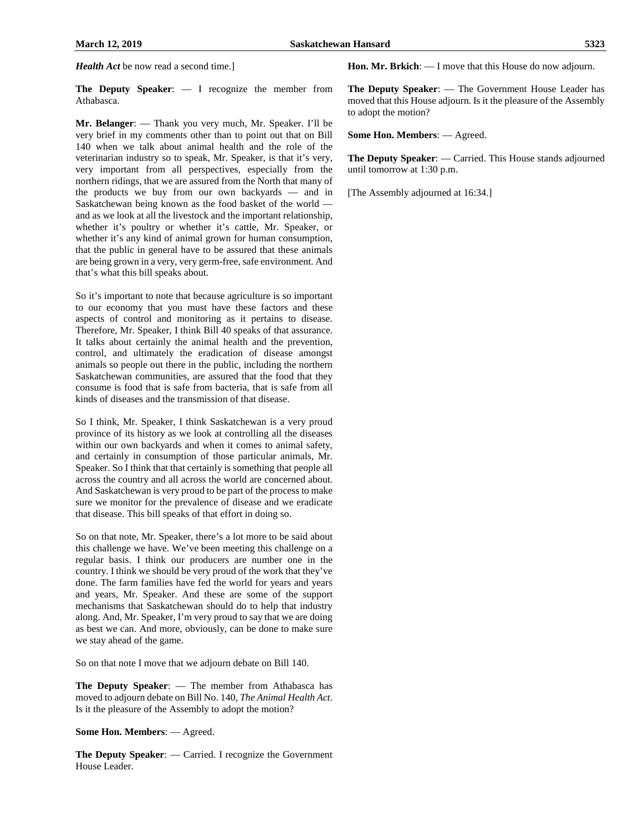*Health Act* be now read a second time.]

**The Deputy Speaker**: — I recognize the member from Athabasca.

**Mr. Belanger**: — Thank you very much, Mr. Speaker. I'll be very brief in my comments other than to point out that on Bill 140 when we talk about animal health and the role of the veterinarian industry so to speak, Mr. Speaker, is that it's very, very important from all perspectives, especially from the northern ridings, that we are assured from the North that many of the products we buy from our own backyards — and in Saskatchewan being known as the food basket of the world and as we look at all the livestock and the important relationship, whether it's poultry or whether it's cattle, Mr. Speaker, or whether it's any kind of animal grown for human consumption, that the public in general have to be assured that these animals are being grown in a very, very germ-free, safe environment. And that's what this bill speaks about.

So it's important to note that because agriculture is so important to our economy that you must have these factors and these aspects of control and monitoring as it pertains to disease. Therefore, Mr. Speaker, I think Bill 40 speaks of that assurance. It talks about certainly the animal health and the prevention, control, and ultimately the eradication of disease amongst animals so people out there in the public, including the northern Saskatchewan communities, are assured that the food that they consume is food that is safe from bacteria, that is safe from all kinds of diseases and the transmission of that disease.

So I think, Mr. Speaker, I think Saskatchewan is a very proud province of its history as we look at controlling all the diseases within our own backyards and when it comes to animal safety, and certainly in consumption of those particular animals, Mr. Speaker. So I think that that certainly is something that people all across the country and all across the world are concerned about. And Saskatchewan is very proud to be part of the process to make sure we monitor for the prevalence of disease and we eradicate that disease. This bill speaks of that effort in doing so.

So on that note, Mr. Speaker, there's a lot more to be said about this challenge we have. We've been meeting this challenge on a regular basis. I think our producers are number one in the country. I think we should be very proud of the work that they've done. The farm families have fed the world for years and years and years, Mr. Speaker. And these are some of the support mechanisms that Saskatchewan should do to help that industry along. And, Mr. Speaker, I'm very proud to say that we are doing as best we can. And more, obviously, can be done to make sure we stay ahead of the game.

So on that note I move that we adjourn debate on Bill 140.

**The Deputy Speaker**: — The member from Athabasca has moved to adjourn debate on Bill No. 140, *The Animal Health Act*. Is it the pleasure of the Assembly to adopt the motion?

**Some Hon. Members**: — Agreed.

**The Deputy Speaker**: — Carried. I recognize the Government House Leader.

**Hon. Mr. Brkich**: — I move that this House do now adjourn.

**The Deputy Speaker**: — The Government House Leader has moved that this House adjourn. Is it the pleasure of the Assembly to adopt the motion?

**Some Hon. Members**: — Agreed.

**The Deputy Speaker**: — Carried. This House stands adjourned until tomorrow at 1:30 p.m.

[The Assembly adjourned at 16:34.]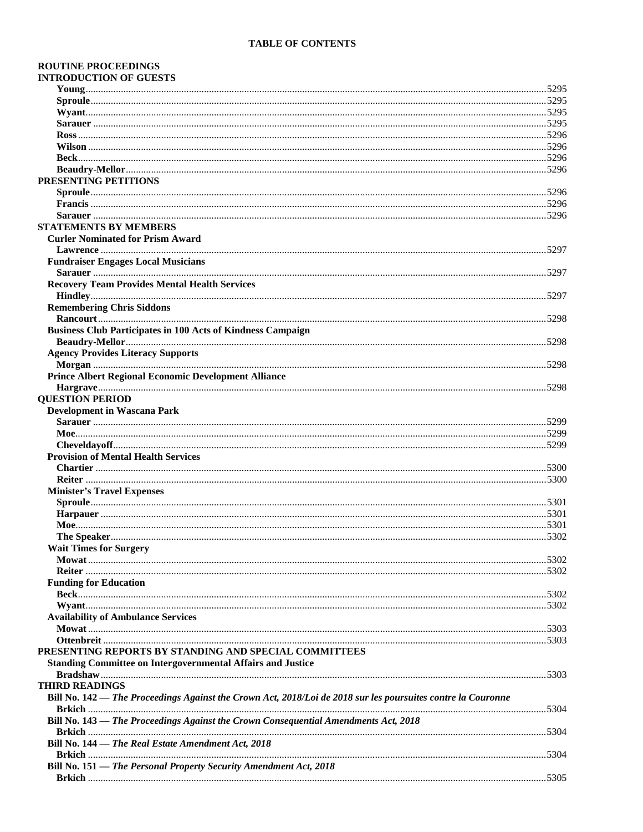# **TABLE OF CONTENTS**

| <b>ROUTINE PROCEEDINGS</b>                                                                                   |       |
|--------------------------------------------------------------------------------------------------------------|-------|
| <b>INTRODUCTION OF GUESTS</b>                                                                                |       |
|                                                                                                              |       |
|                                                                                                              |       |
|                                                                                                              |       |
|                                                                                                              |       |
|                                                                                                              |       |
|                                                                                                              |       |
|                                                                                                              |       |
|                                                                                                              |       |
| PRESENTING PETITIONS                                                                                         |       |
|                                                                                                              |       |
|                                                                                                              |       |
|                                                                                                              |       |
| <b>STATEMENTS BY MEMBERS</b>                                                                                 |       |
| <b>Curler Nominated for Prism Award</b>                                                                      |       |
|                                                                                                              |       |
| <b>Fundraiser Engages Local Musicians</b>                                                                    |       |
|                                                                                                              |       |
| <b>Recovery Team Provides Mental Health Services</b>                                                         |       |
|                                                                                                              |       |
| <b>Remembering Chris Siddons</b>                                                                             |       |
|                                                                                                              |       |
| <b>Business Club Participates in 100 Acts of Kindness Campaign</b>                                           |       |
|                                                                                                              |       |
| <b>Agency Provides Literacy Supports</b>                                                                     |       |
|                                                                                                              |       |
|                                                                                                              |       |
| <b>Prince Albert Regional Economic Development Alliance</b>                                                  |       |
|                                                                                                              |       |
| <b>QUESTION PERIOD</b>                                                                                       |       |
| <b>Development in Wascana Park</b>                                                                           |       |
|                                                                                                              |       |
|                                                                                                              |       |
|                                                                                                              |       |
| <b>Provision of Mental Health Services</b>                                                                   |       |
|                                                                                                              |       |
|                                                                                                              |       |
| <b>Minister's Travel Expenses</b>                                                                            |       |
|                                                                                                              |       |
|                                                                                                              |       |
| Moe.                                                                                                         |       |
|                                                                                                              |       |
| <b>Wait Times for Surgery</b>                                                                                |       |
|                                                                                                              |       |
|                                                                                                              |       |
| <b>Funding for Education</b>                                                                                 |       |
|                                                                                                              |       |
|                                                                                                              |       |
| <b>Availability of Ambulance Services</b>                                                                    |       |
|                                                                                                              |       |
|                                                                                                              |       |
| PRESENTING REPORTS BY STANDING AND SPECIAL COMMITTEES                                                        |       |
| <b>Standing Committee on Intergovernmental Affairs and Justice</b>                                           |       |
|                                                                                                              |       |
| <b>THIRD READINGS</b>                                                                                        |       |
| Bill No. 142 - The Proceedings Against the Crown Act, 2018/Loi de 2018 sur les poursuites contre la Couronne |       |
|                                                                                                              |       |
| Bill No. 143 — The Proceedings Against the Crown Consequential Amendments Act, 2018                          |       |
|                                                                                                              |       |
| Bill No. 144 - The Real Estate Amendment Act, 2018                                                           |       |
|                                                                                                              |       |
| Bill No. 151 - The Personal Property Security Amendment Act, 2018                                            |       |
|                                                                                                              | .5305 |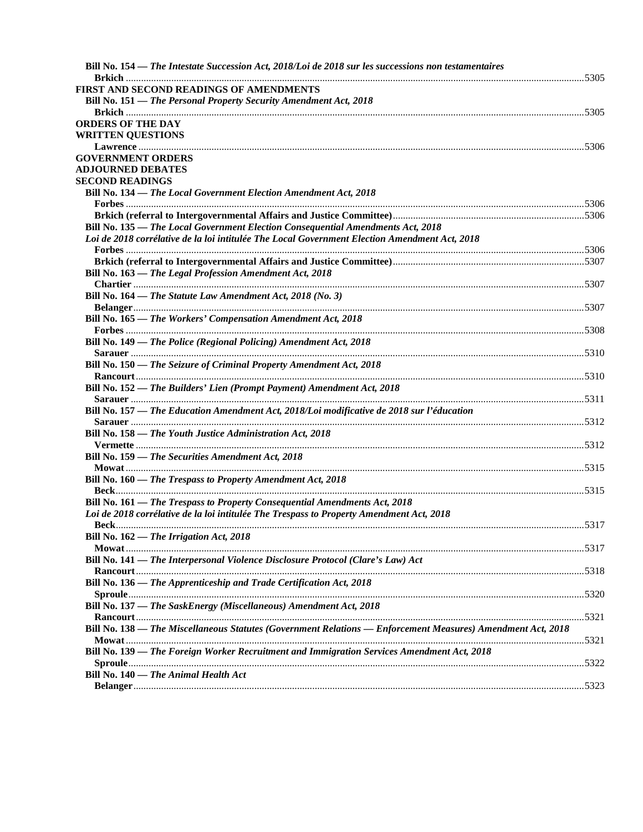| FIRST AND SECOND READINGS OF AMENDMENTS                                                                     |
|-------------------------------------------------------------------------------------------------------------|
| Bill No. 151 - The Personal Property Security Amendment Act, 2018                                           |
| <b>ORDERS OF THE DAY</b>                                                                                    |
| <b>WRITTEN QUESTIONS</b>                                                                                    |
|                                                                                                             |
| <b>GOVERNMENT ORDERS</b>                                                                                    |
| <b>ADJOURNED DEBATES</b>                                                                                    |
| <b>SECOND READINGS</b>                                                                                      |
| Bill No. 134 - The Local Government Election Amendment Act, 2018                                            |
|                                                                                                             |
|                                                                                                             |
| Bill No. 135 - The Local Government Election Consequential Amendments Act, 2018                             |
| Loi de 2018 corrélative de la loi intitulée The Local Government Election Amendment Act, 2018               |
|                                                                                                             |
|                                                                                                             |
| Bill No. 163 - The Legal Profession Amendment Act, 2018                                                     |
|                                                                                                             |
| Bill No. 164 — The Statute Law Amendment Act, 2018 (No. 3)                                                  |
|                                                                                                             |
| Bill No. 165 - The Workers' Compensation Amendment Act, 2018                                                |
|                                                                                                             |
| Bill No. 149 - The Police (Regional Policing) Amendment Act, 2018                                           |
|                                                                                                             |
| Bill No. 150 - The Seizure of Criminal Property Amendment Act, 2018                                         |
|                                                                                                             |
| Bill No. 152 - The Builders' Lien (Prompt Payment) Amendment Act, 2018                                      |
|                                                                                                             |
| Bill No. 157 - The Education Amendment Act, 2018/Loi modificative de 2018 sur l'éducation                   |
|                                                                                                             |
| Bill No. 158 - The Youth Justice Administration Act, 2018                                                   |
|                                                                                                             |
| Bill No. 159 — The Securities Amendment Act, 2018                                                           |
|                                                                                                             |
| Bill No. 160 — The Trespass to Property Amendment Act, 2018                                                 |
|                                                                                                             |
| Bill No. 161 - The Trespass to Property Consequential Amendments Act, 2018                                  |
| Loi de 2018 corrélative de la loi intitulée The Trespass to Property Amendment Act, 2018                    |
|                                                                                                             |
| Bill No. 162 - The Irrigation Act, 2018                                                                     |
| Bill No. 141 - The Interpersonal Violence Disclosure Protocol (Clare's Law) Act                             |
|                                                                                                             |
|                                                                                                             |
| Bill No. 136 - The Apprenticeship and Trade Certification Act, 2018                                         |
| Bill No. 137 - The SaskEnergy (Miscellaneous) Amendment Act, 2018                                           |
|                                                                                                             |
| Bill No. 138 - The Miscellaneous Statutes (Government Relations - Enforcement Measures) Amendment Act, 2018 |
|                                                                                                             |
| Bill No. 139 — The Foreign Worker Recruitment and Immigration Services Amendment Act, 2018                  |
|                                                                                                             |
| Bill No. 140 — The Animal Health Act                                                                        |
|                                                                                                             |
|                                                                                                             |